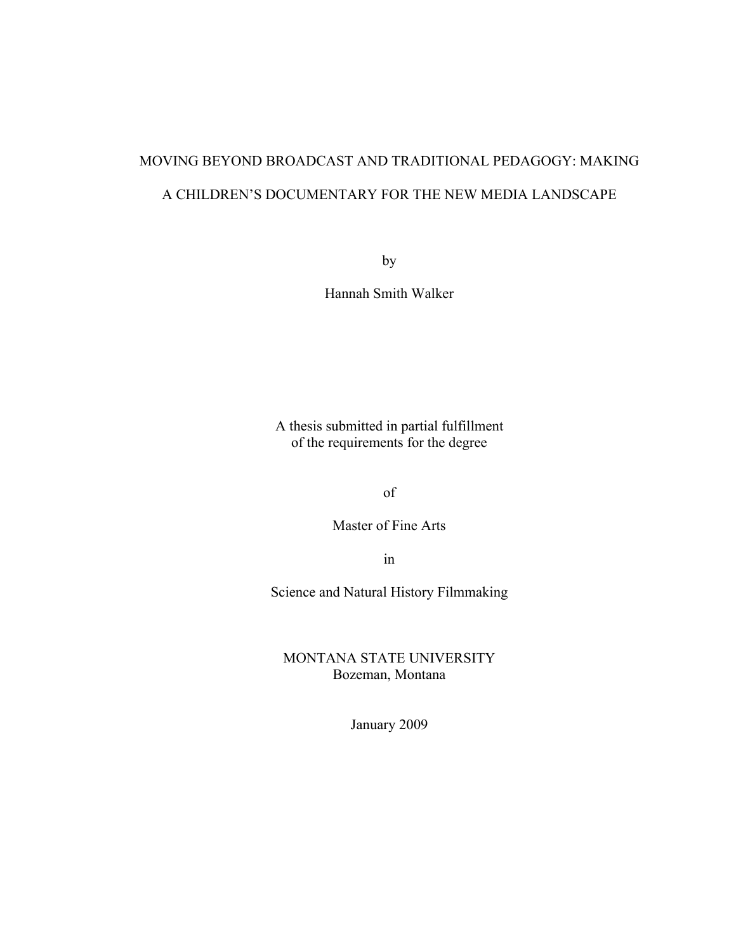# MOVING BEYOND BROADCAST AND TRADITIONAL PEDAGOGY: MAKING A CHILDREN'S DOCUMENTARY FOR THE NEW MEDIA LANDSCAPE

by

Hannah Smith Walker

A thesis submitted in partial fulfillment of the requirements for the degree

of

Master of Fine Arts

in

Science and Natural History Filmmaking

MONTANA STATE UNIVERSITY Bozeman, Montana

January 2009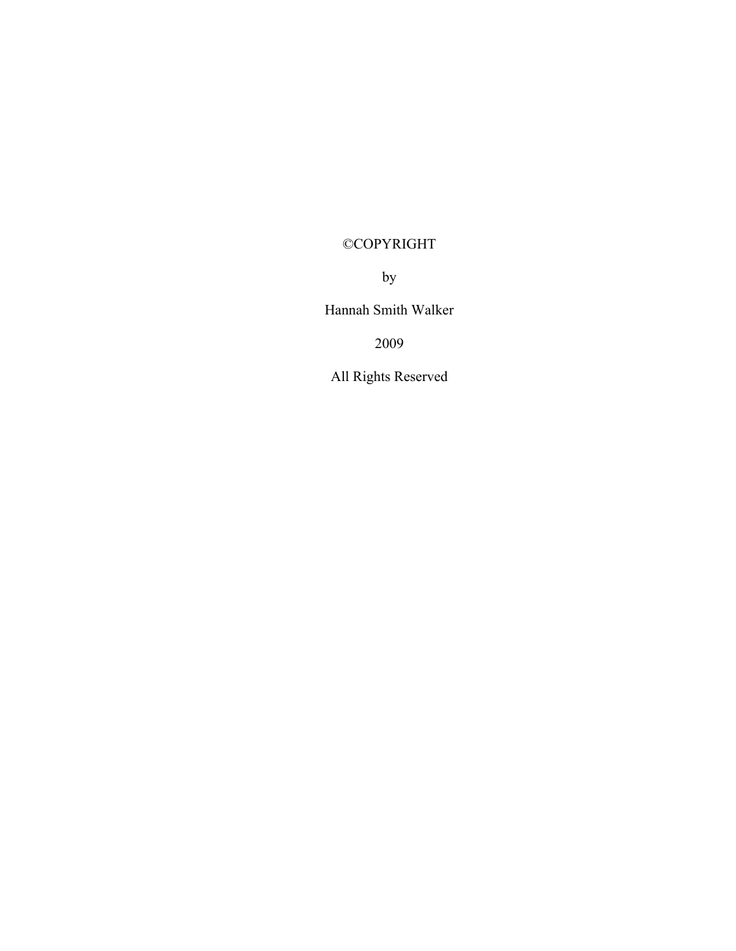# ©COPYRIGHT

by

Hannah Smith Walker

2009

All Rights Reserved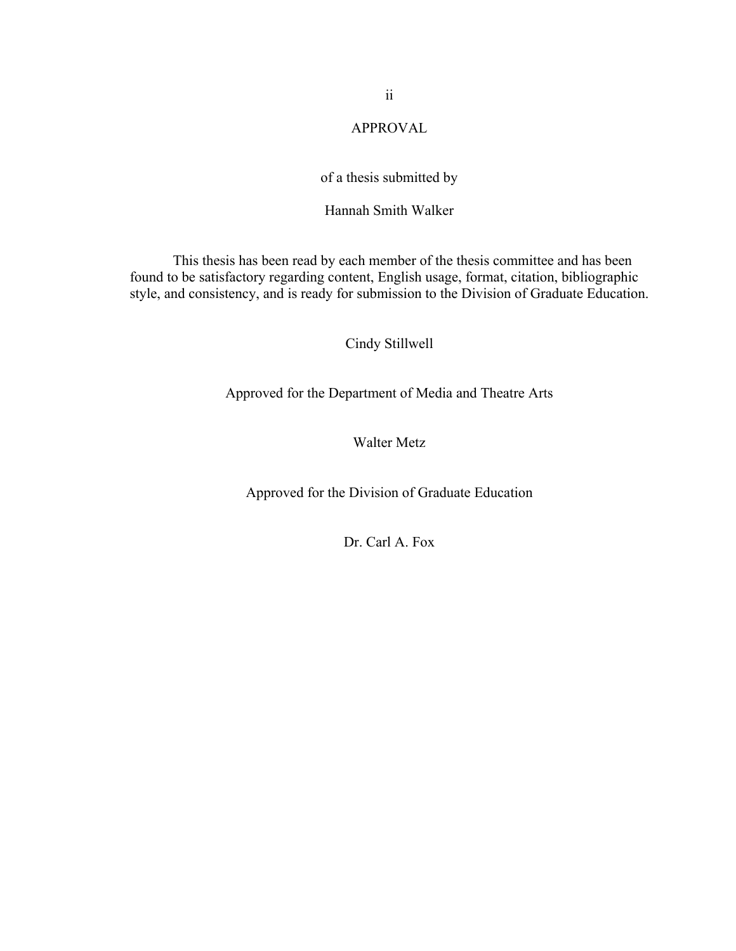# APPROVAL

# of a thesis submitted by

# Hannah Smith Walker

This thesis has been read by each member of the thesis committee and has been found to be satisfactory regarding content, English usage, format, citation, bibliographic style, and consistency, and is ready for submission to the Division of Graduate Education.

# Cindy Stillwell

Approved for the Department of Media and Theatre Arts

# Walter Metz

Approved for the Division of Graduate Education

Dr. Carl A. Fox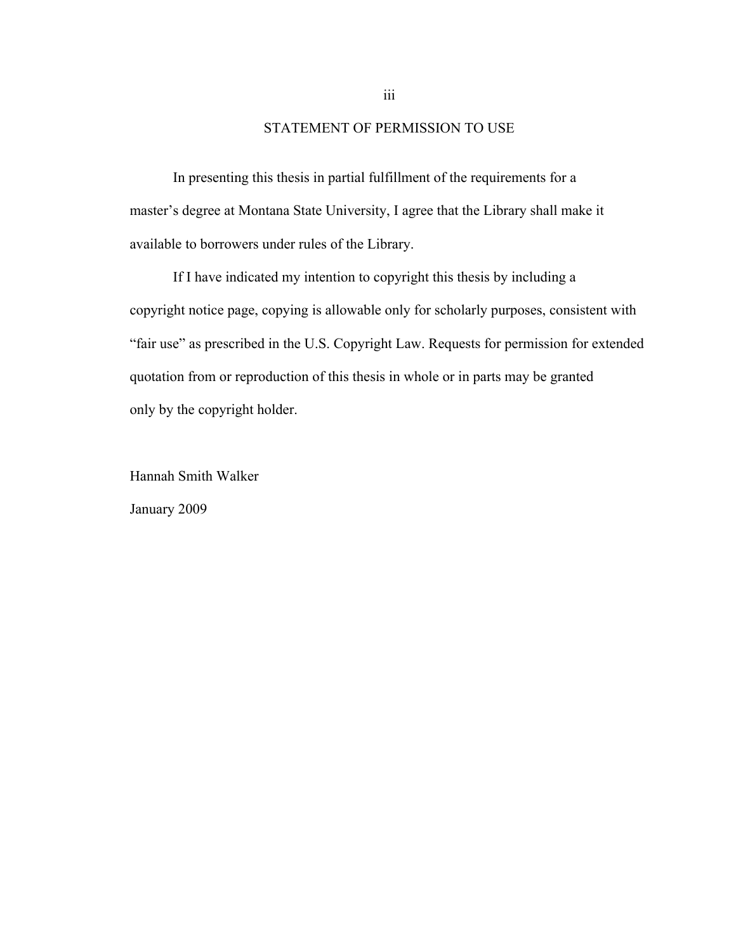# STATEMENT OF PERMISSION TO USE

In presenting this thesis in partial fulfillment of the requirements for a master's degree at Montana State University, I agree that the Library shall make it available to borrowers under rules of the Library.

If I have indicated my intention to copyright this thesis by including a copyright notice page, copying is allowable only for scholarly purposes, consistent with "fair use" as prescribed in the U.S. Copyright Law. Requests for permission for extended quotation from or reproduction of this thesis in whole or in parts may be granted only by the copyright holder.

Hannah Smith Walker January 2009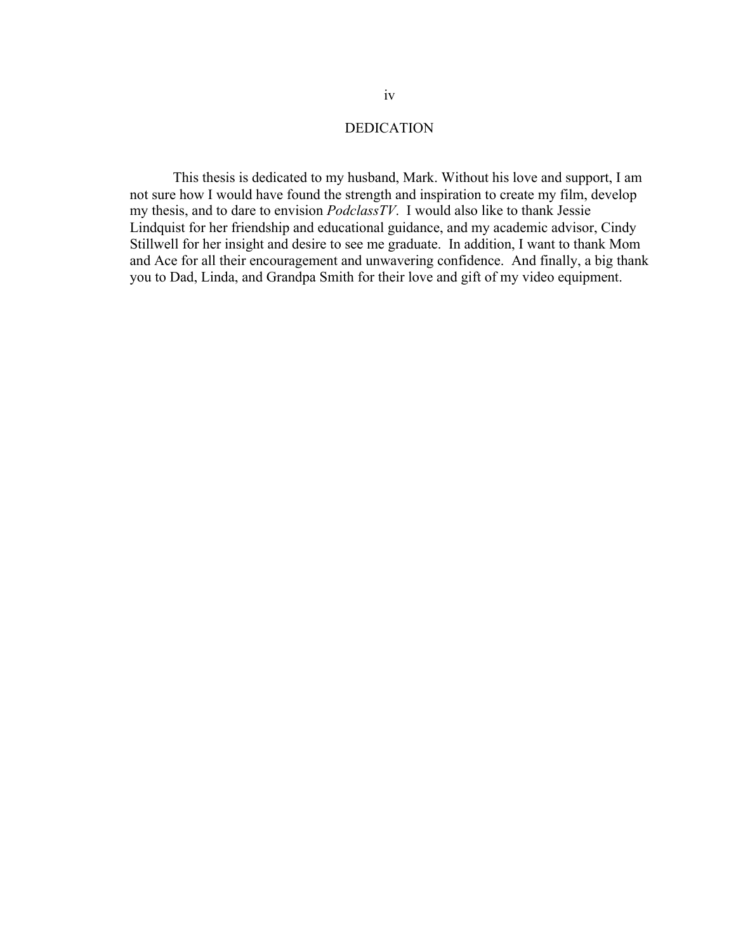# DEDICATION

This thesis is dedicated to my husband, Mark. Without his love and support, I am not sure how I would have found the strength and inspiration to create my film, develop my thesis, and to dare to envision *PodclassTV*. I would also like to thank Jessie Lindquist for her friendship and educational guidance, and my academic advisor, Cindy Stillwell for her insight and desire to see me graduate. In addition, I want to thank Mom and Ace for all their encouragement and unwavering confidence. And finally, a big thank you to Dad, Linda, and Grandpa Smith for their love and gift of my video equipment.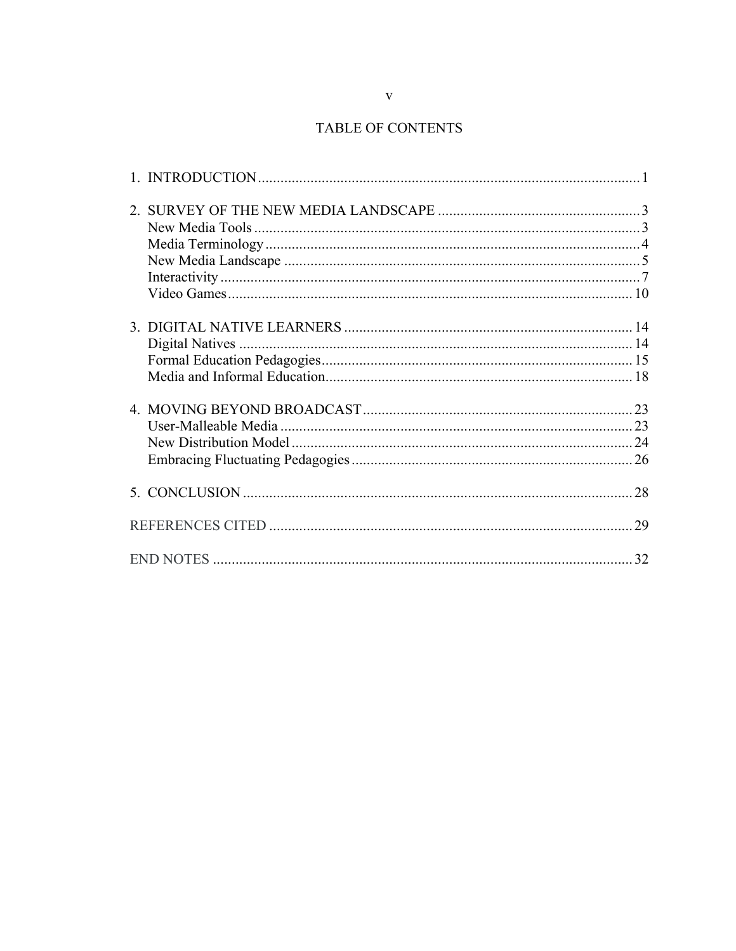# TABLE OF CONTENTS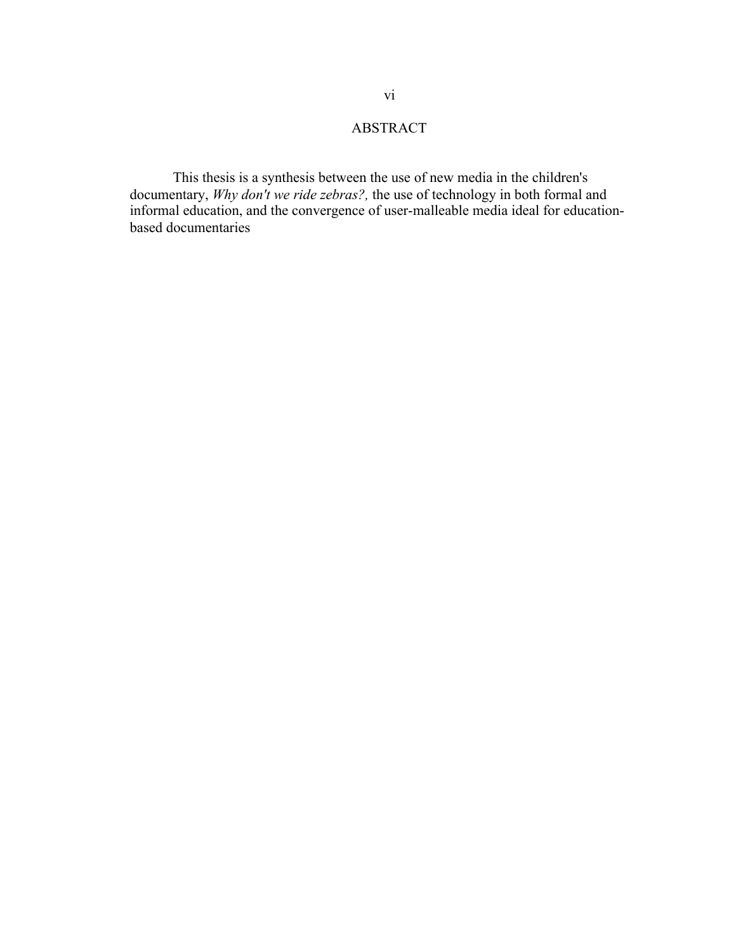# ABSTRACT

This thesis is a synthesis between the use of new media in the children's documentary, *Why don't we ride zebras?,* the use of technology in both formal and informal education, and the convergence of user-malleable media ideal for educationbased documentaries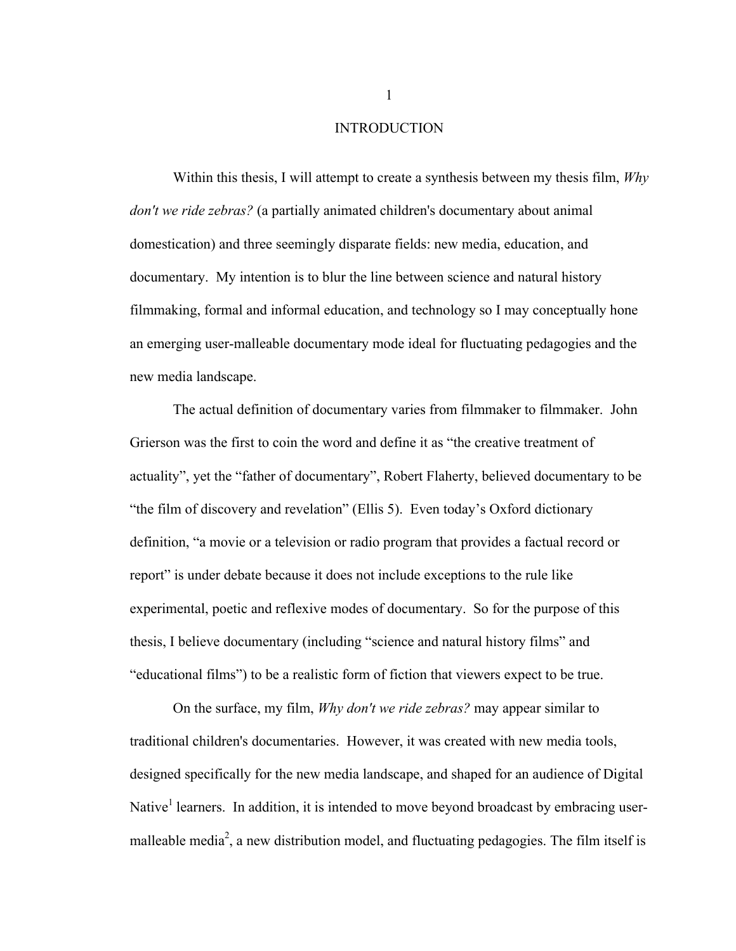#### INTRODUCTION

Within this thesis, I will attempt to create a synthesis between my thesis film, *Why don't we ride zebras?* (a partially animated children's documentary about animal domestication) and three seemingly disparate fields: new media, education, and documentary. My intention is to blur the line between science and natural history filmmaking, formal and informal education, and technology so I may conceptually hone an emerging user-malleable documentary mode ideal for fluctuating pedagogies and the new media landscape.

The actual definition of documentary varies from filmmaker to filmmaker. John Grierson was the first to coin the word and define it as "the creative treatment of actuality", yet the "father of documentary", Robert Flaherty, believed documentary to be "the film of discovery and revelation" (Ellis 5). Even today's Oxford dictionary definition, "a movie or a television or radio program that provides a factual record or report" is under debate because it does not include exceptions to the rule like experimental, poetic and reflexive modes of documentary. So for the purpose of this thesis, I believe documentary (including "science and natural history films" and "educational films") to be a realistic form of fiction that viewers expect to be true.

On the surface, my film, *Why don't we ride zebras?* may appear similar to traditional children's documentaries. However, it was created with new media tools, designed specifically for the new media landscape, and shaped for an audience of Digital Native<sup>1</sup> learners. In addition, it is intended to move beyond broadcast by embracing usermalleable media<sup>2</sup>, a new distribution model, and fluctuating pedagogies. The film itself is

1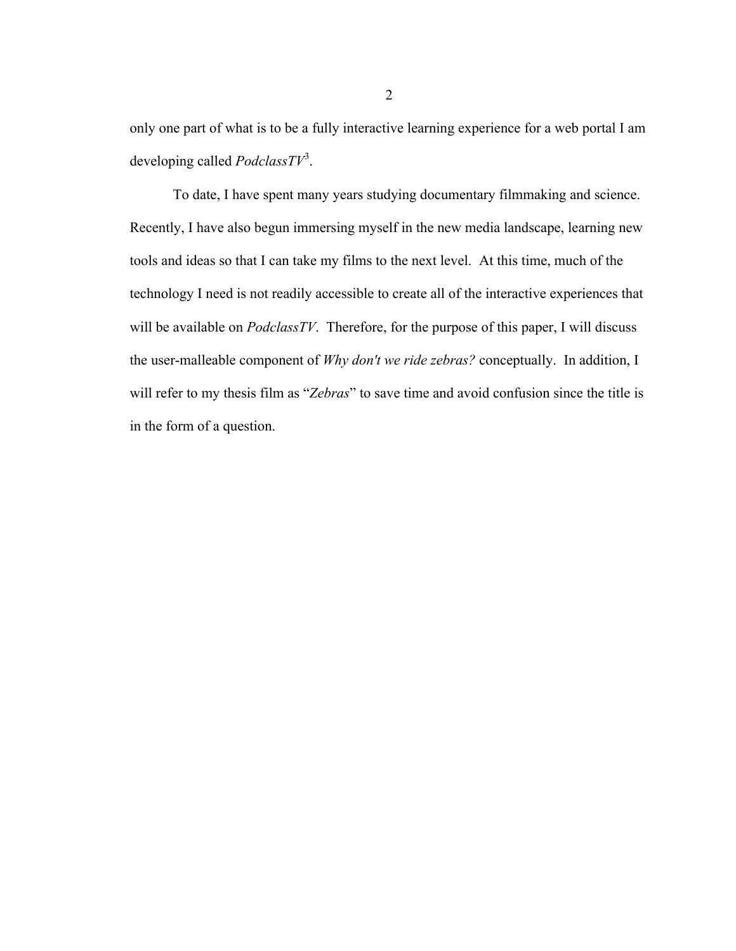only one part of what is to be a fully interactive learning experience for a web portal I am developing called *PodclassTV*<sup>3</sup> .

To date, I have spent many years studying documentary filmmaking and science. Recently, I have also begun immersing myself in the new media landscape, learning new tools and ideas so that I can take my films to the next level. At this time, much of the technology I need is not readily accessible to create all of the interactive experiences that will be available on *PodclassTV*. Therefore, for the purpose of this paper, I will discuss the user-malleable component of *Why don't we ride zebras?* conceptually. In addition, I will refer to my thesis film as "*Zebras*" to save time and avoid confusion since the title is in the form of a question.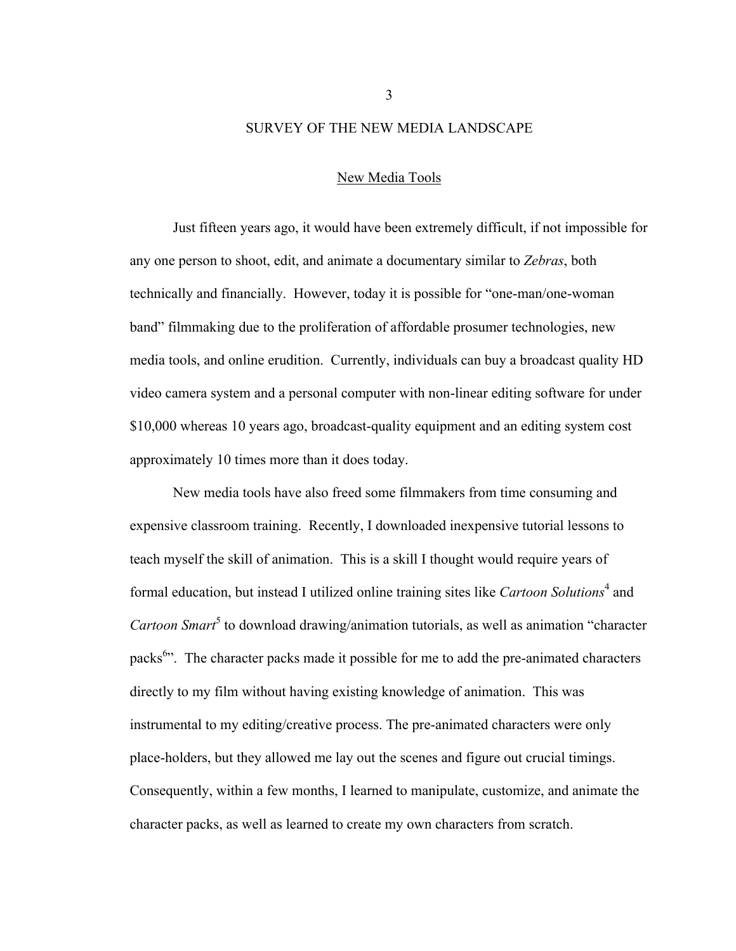#### SURVEY OF THE NEW MEDIA LANDSCAPE

#### New Media Tools

Just fifteen years ago, it would have been extremely difficult, if not impossible for any one person to shoot, edit, and animate a documentary similar to *Zebras*, both technically and financially. However, today it is possible for "one-man/one-woman band" filmmaking due to the proliferation of affordable prosumer technologies, new media tools, and online erudition. Currently, individuals can buy a broadcast quality HD video camera system and a personal computer with non-linear editing software for under \$10,000 whereas 10 years ago, broadcast-quality equipment and an editing system cost approximately 10 times more than it does today.

New media tools have also freed some filmmakers from time consuming and expensive classroom training. Recently, I downloaded inexpensive tutorial lessons to teach myself the skill of animation. This is a skill I thought would require years of formal education, but instead I utilized online training sites like *Cartoon Solutions*<sup>4</sup> and Cartoon Smart<sup>5</sup> to download drawing/animation tutorials, as well as animation "character packs<sup>6</sup>... The character packs made it possible for me to add the pre-animated characters directly to my film without having existing knowledge of animation. This was instrumental to my editing/creative process. The pre-animated characters were only place-holders, but they allowed me lay out the scenes and figure out crucial timings. Consequently, within a few months, I learned to manipulate, customize, and animate the character packs, as well as learned to create my own characters from scratch.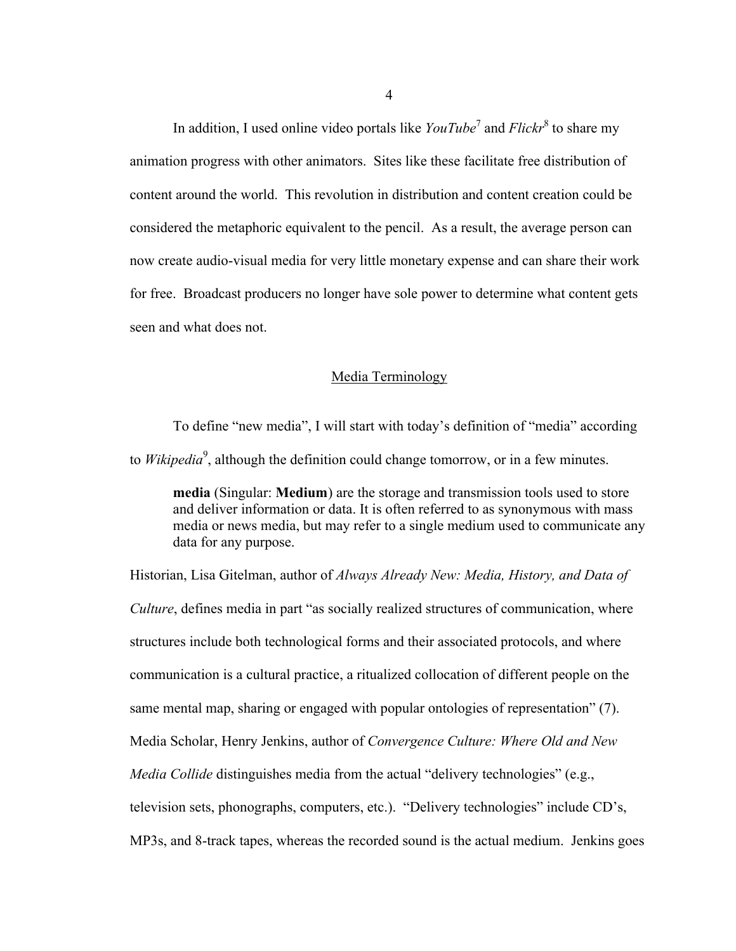In addition, I used online video portals like *YouTube*<sup>7</sup> and *Flickr*<sup>8</sup> to share my animation progress with other animators. Sites like these facilitate free distribution of content around the world. This revolution in distribution and content creation could be considered the metaphoric equivalent to the pencil. As a result, the average person can now create audio-visual media for very little monetary expense and can share their work for free. Broadcast producers no longer have sole power to determine what content gets seen and what does not.

# Media Terminology

To define "new media", I will start with today's definition of "media" according to *Wikipedia*<sup>9</sup>, although the definition could change tomorrow, or in a few minutes.

**media** (Singular: **Medium**) are the storage and transmission tools used to store and deliver information or data. It is often referred to as synonymous with mass media or news media, but may refer to a single medium used to communicate any data for any purpose.

Historian, Lisa Gitelman, author of *Always Already New: Media, History, and Data of Culture*, defines media in part "as socially realized structures of communication, where structures include both technological forms and their associated protocols, and where communication is a cultural practice, a ritualized collocation of different people on the same mental map, sharing or engaged with popular ontologies of representation" (7). Media Scholar, Henry Jenkins, author of *Convergence Culture: Where Old and New Media Collide* distinguishes media from the actual "delivery technologies" (e.g., television sets, phonographs, computers, etc.). "Delivery technologies" include CD's, MP3s, and 8-track tapes, whereas the recorded sound is the actual medium. Jenkins goes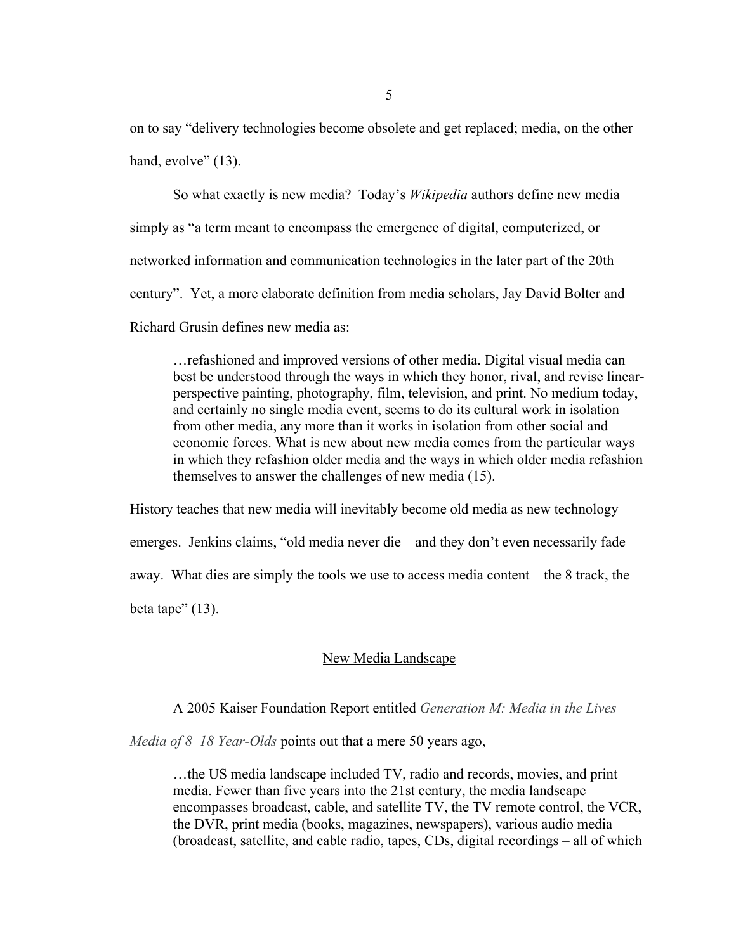on to say "delivery technologies become obsolete and get replaced; media, on the other hand, evolve" (13).

So what exactly is new media? Today's *Wikipedia* authors define new media simply as "a term meant to encompass the emergence of digital, computerized, or networked information and communication technologies in the later part of the 20th century". Yet, a more elaborate definition from media scholars, Jay David Bolter and Richard Grusin defines new media as:

…refashioned and improved versions of other media. Digital visual media can best be understood through the ways in which they honor, rival, and revise linearperspective painting, photography, film, television, and print. No medium today, and certainly no single media event, seems to do its cultural work in isolation from other media, any more than it works in isolation from other social and economic forces. What is new about new media comes from the particular ways in which they refashion older media and the ways in which older media refashion themselves to answer the challenges of new media (15).

History teaches that new media will inevitably become old media as new technology emerges. Jenkins claims, "old media never die—and they don't even necessarily fade away. What dies are simply the tools we use to access media content—the 8 track, the beta tape"  $(13)$ .

# New Media Landscape

A 2005 Kaiser Foundation Report entitled *Generation M: Media in the Lives*

*Media of 8–18 Year-Olds* points out that a mere 50 years ago,

…the US media landscape included TV, radio and records, movies, and print media. Fewer than five years into the 21st century, the media landscape encompasses broadcast, cable, and satellite TV, the TV remote control, the VCR, the DVR, print media (books, magazines, newspapers), various audio media (broadcast, satellite, and cable radio, tapes, CDs, digital recordings – all of which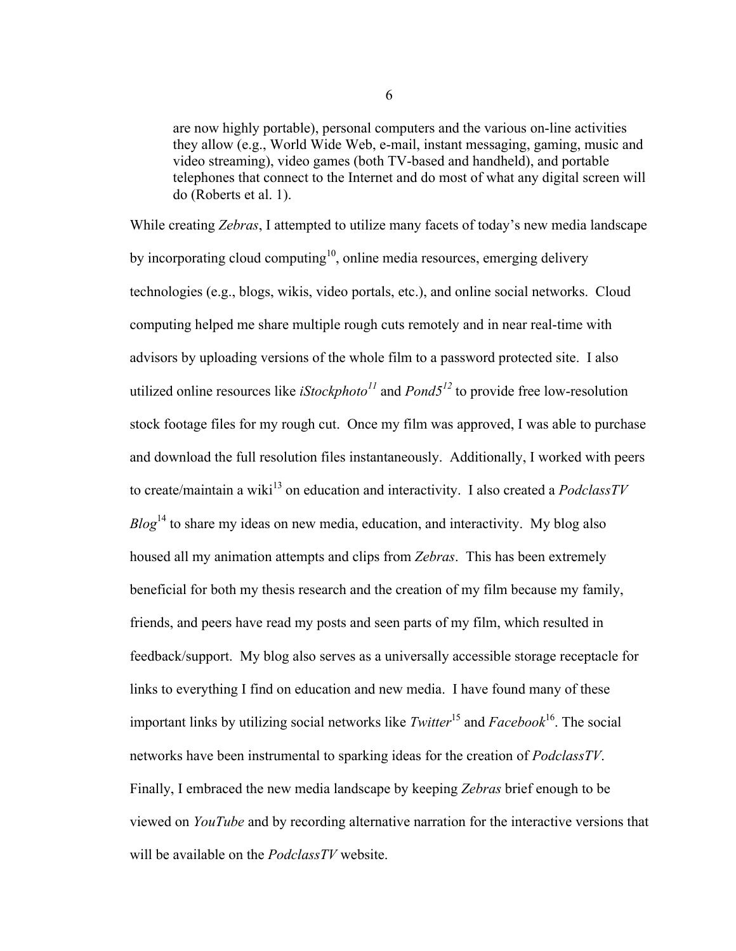are now highly portable), personal computers and the various on-line activities they allow (e.g., World Wide Web, e-mail, instant messaging, gaming, music and video streaming), video games (both TV-based and handheld), and portable telephones that connect to the Internet and do most of what any digital screen will do (Roberts et al. 1).

While creating *Zebras*, I attempted to utilize many facets of today's new media landscape by incorporating cloud computing<sup>10</sup>, online media resources, emerging delivery technologies (e.g., blogs, wikis, video portals, etc.), and online social networks. Cloud computing helped me share multiple rough cuts remotely and in near real-time with advisors by uploading versions of the whole film to a password protected site. I also utilized online resources like *iStockphoto<sup>11</sup>* and *Pond5<sup>12</sup>* to provide free low-resolution stock footage files for my rough cut. Once my film was approved, I was able to purchase and download the full resolution files instantaneously. Additionally, I worked with peers to create/maintain a wiki<sup>13</sup> on education and interactivity. I also created a *PodclassTV Blog*<sup>14</sup> to share my ideas on new media, education, and interactivity. My blog also housed all my animation attempts and clips from *Zebras*. This has been extremely beneficial for both my thesis research and the creation of my film because my family, friends, and peers have read my posts and seen parts of my film, which resulted in feedback/support. My blog also serves as a universally accessible storage receptacle for links to everything I find on education and new media. I have found many of these important links by utilizing social networks like *Twitter*<sup>15</sup> and *Facebook*<sup>16</sup>. The social networks have been instrumental to sparking ideas for the creation of *PodclassTV*. Finally, I embraced the new media landscape by keeping *Zebras* brief enough to be viewed on *YouTube* and by recording alternative narration for the interactive versions that will be available on the *PodclassTV* website.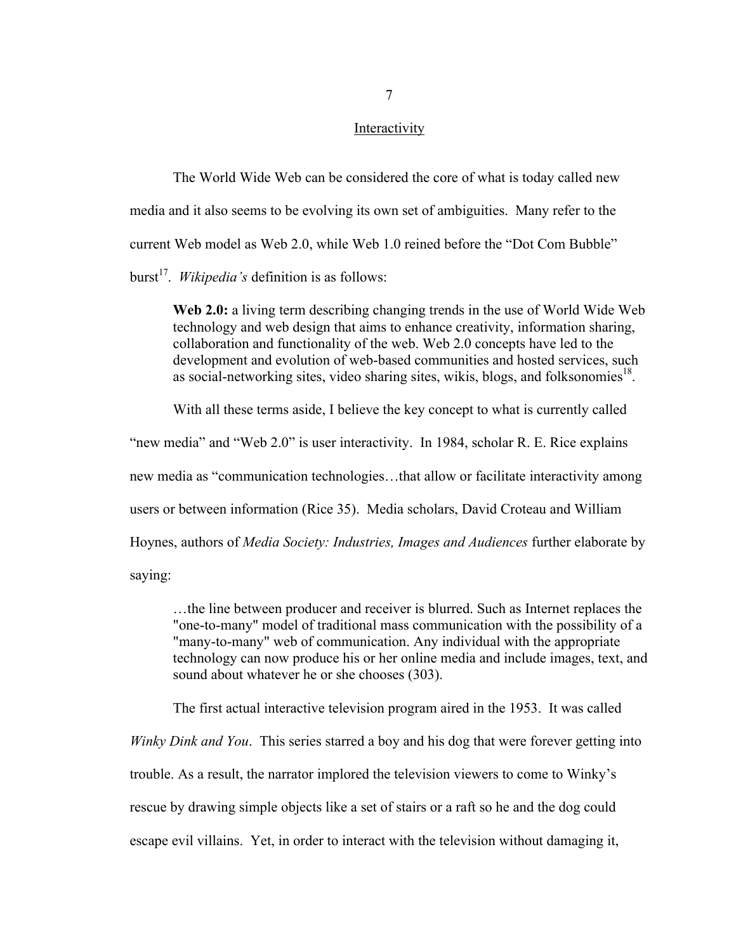#### Interactivity

The World Wide Web can be considered the core of what is today called new media and it also seems to be evolving its own set of ambiguities. Many refer to the current Web model as Web 2.0, while Web 1.0 reined before the "Dot Com Bubble" burst<sup>17</sup>. *Wikipedia's* definition is as follows:

**Web 2.0:** a living term describing changing trends in the use of World Wide Web technology and web design that aims to enhance creativity, information sharing, collaboration and functionality of the web. Web 2.0 concepts have led to the development and evolution of web-based communities and hosted services, such as social-networking sites, video sharing sites, wikis, blogs, and folksonomies<sup>18</sup>.

With all these terms aside, I believe the key concept to what is currently called

"new media" and "Web 2.0" is user interactivity. In 1984, scholar R. E. Rice explains

new media as "communication technologies…that allow or facilitate interactivity among

users or between information (Rice 35). Media scholars, David Croteau and William

Hoynes, authors of *Media Society: Industries, Images and Audiences* further elaborate by

saying:

…the line between producer and receiver is blurred. Such as Internet replaces the "one-to-many" model of traditional mass communication with the possibility of a "many-to-many" web of communication. Any individual with the appropriate technology can now produce his or her online media and include images, text, and sound about whatever he or she chooses (303).

The first actual interactive television program aired in the 1953. It was called

*Winky Dink and You*. This series starred a boy and his dog that were forever getting into trouble. As a result, the narrator implored the television viewers to come to Winky's rescue by drawing simple objects like a set of stairs or a raft so he and the dog could escape evil villains. Yet, in order to interact with the television without damaging it,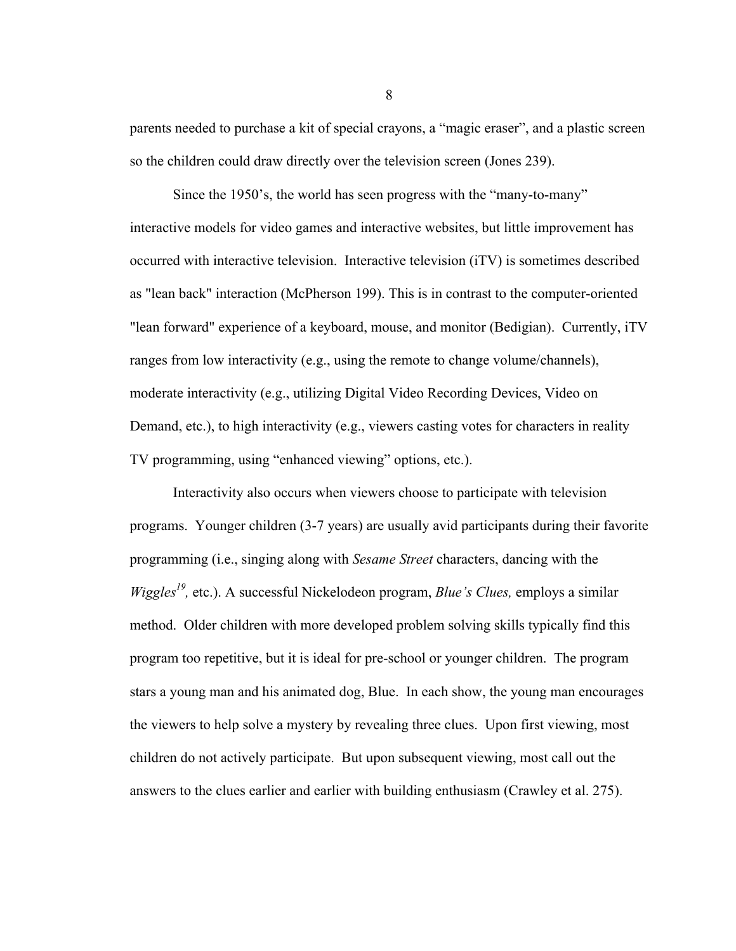parents needed to purchase a kit of special crayons, a "magic eraser", and a plastic screen so the children could draw directly over the television screen (Jones 239).

Since the 1950's, the world has seen progress with the "many-to-many" interactive models for video games and interactive websites, but little improvement has occurred with interactive television. Interactive television (iTV) is sometimes described as "lean back" interaction (McPherson 199). This is in contrast to the computer-oriented "lean forward" experience of a keyboard, mouse, and monitor (Bedigian). Currently, iTV ranges from low interactivity (e.g., using the remote to change volume/channels), moderate interactivity (e.g., utilizing Digital Video Recording Devices, Video on Demand, etc.), to high interactivity (e.g., viewers casting votes for characters in reality TV programming, using "enhanced viewing" options, etc.).

Interactivity also occurs when viewers choose to participate with television programs. Younger children (3-7 years) are usually avid participants during their favorite programming (i.e., singing along with *Sesame Street* characters, dancing with the *Wiggles<sup>19</sup>*, etc.). A successful Nickelodeon program, *Blue's Clues*, employs a similar method. Older children with more developed problem solving skills typically find this program too repetitive, but it is ideal for pre-school or younger children. The program stars a young man and his animated dog, Blue. In each show, the young man encourages the viewers to help solve a mystery by revealing three clues. Upon first viewing, most children do not actively participate. But upon subsequent viewing, most call out the answers to the clues earlier and earlier with building enthusiasm (Crawley et al. 275).

8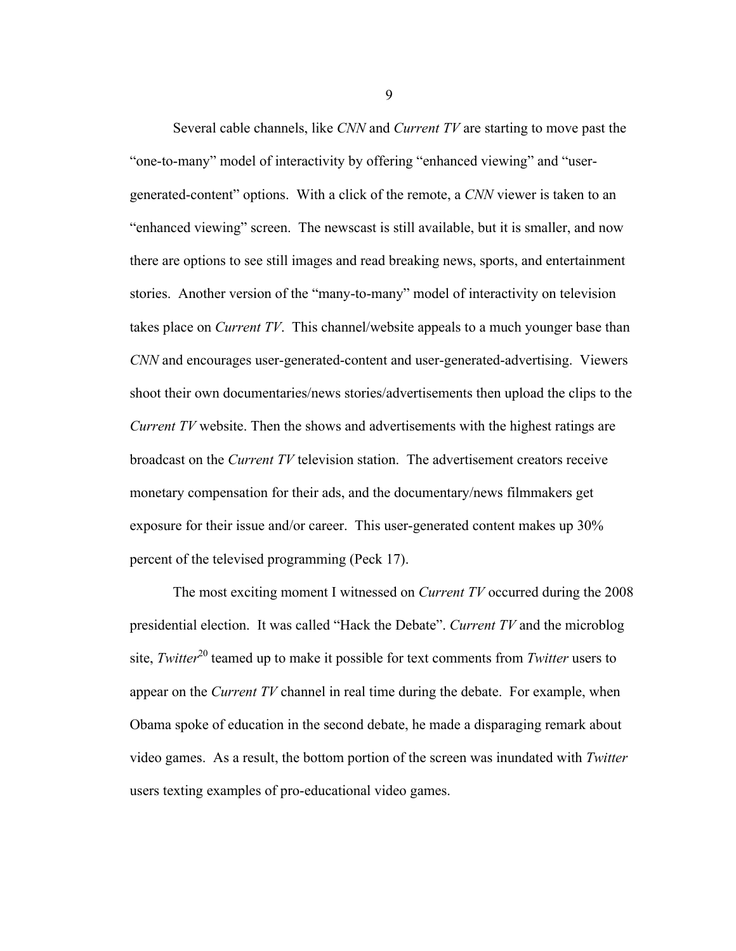Several cable channels, like *CNN* and *Current TV* are starting to move past the "one-to-many" model of interactivity by offering "enhanced viewing" and "usergenerated-content" options. With a click of the remote, a *CNN* viewer is taken to an "enhanced viewing" screen. The newscast is still available, but it is smaller, and now there are options to see still images and read breaking news, sports, and entertainment stories. Another version of the "many-to-many" model of interactivity on television takes place on *Current TV*. This channel/website appeals to a much younger base than *CNN* and encourages user-generated-content and user-generated-advertising. Viewers shoot their own documentaries/news stories/advertisements then upload the clips to the *Current TV* website. Then the shows and advertisements with the highest ratings are broadcast on the *Current TV* television station. The advertisement creators receive monetary compensation for their ads, and the documentary/news filmmakers get exposure for their issue and/or career. This user-generated content makes up 30% percent of the televised programming (Peck 17).

The most exciting moment I witnessed on *Current TV* occurred during the 2008 presidential election. It was called "Hack the Debate". *Current TV* and the microblog site, *Twitter*<sup>20</sup> teamed up to make it possible for text comments from *Twitter* users to appear on the *Current TV* channel in real time during the debate. For example, when Obama spoke of education in the second debate, he made a disparaging remark about video games. As a result, the bottom portion of the screen was inundated with *Twitter* users texting examples of pro-educational video games.

9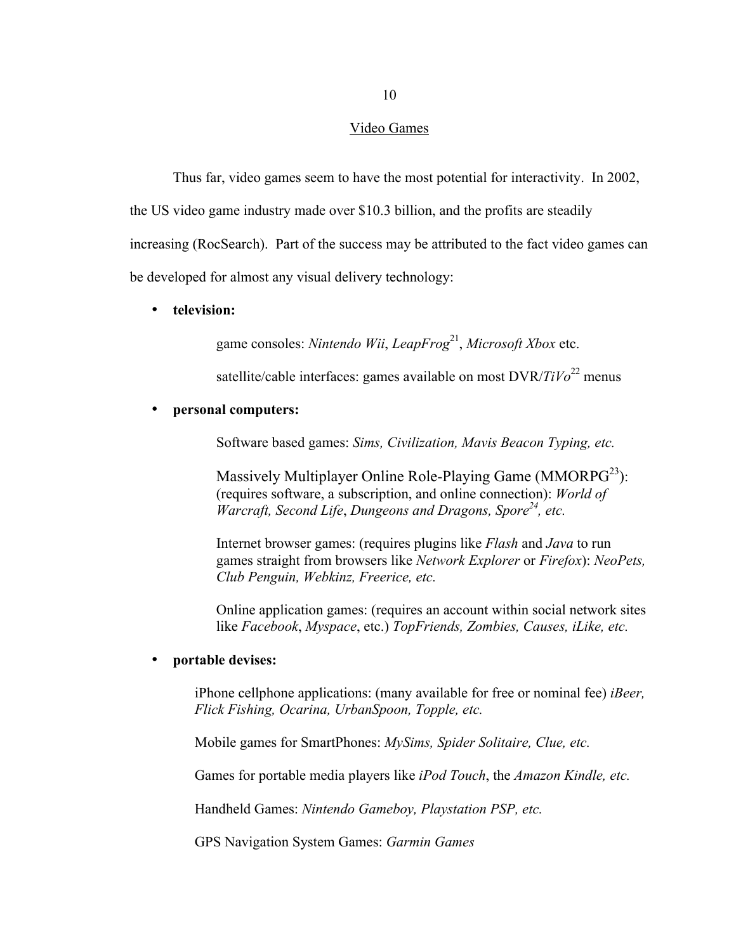#### Video Games

Thus far, video games seem to have the most potential for interactivity. In 2002,

the US video game industry made over \$10.3 billion, and the profits are steadily

increasing (RocSearch). Part of the success may be attributed to the fact video games can

be developed for almost any visual delivery technology:

### • **television:**

game consoles: *Nintendo Wii*, *LeapFrog*<sup>21</sup> , *Microsoft Xbox* etc.

satellite/cable interfaces: games available on most DVR/*TiVo*<sup>22</sup> menus

#### • **personal computers:**

Software based games: *Sims, Civilization, Mavis Beacon Typing, etc.*

Massively Multiplayer Online Role-Playing Game (MMORPG $^{23}$ ): (requires software, a subscription, and online connection): *World of Warcraft, Second Life*, *Dungeons and Dragons, Spore24 , etc.*

Internet browser games: (requires plugins like *Flash* and *Java* to run games straight from browsers like *Network Explorer* or *Firefox*): *NeoPets, Club Penguin, Webkinz, Freerice, etc.*

Online application games: (requires an account within social network sites like *Facebook*, *Myspace*, etc.) *TopFriends, Zombies, Causes, iLike, etc.*

# • **portable devises:**

iPhone cellphone applications: (many available for free or nominal fee) *iBeer, Flick Fishing, Ocarina, UrbanSpoon, Topple, etc.*

Mobile games for SmartPhones: *MySims, Spider Solitaire, Clue, etc.*

Games for portable media players like *iPod Touch*, the *Amazon Kindle, etc.*

Handheld Games: *Nintendo Gameboy, Playstation PSP, etc.*

GPS Navigation System Games: *Garmin Games*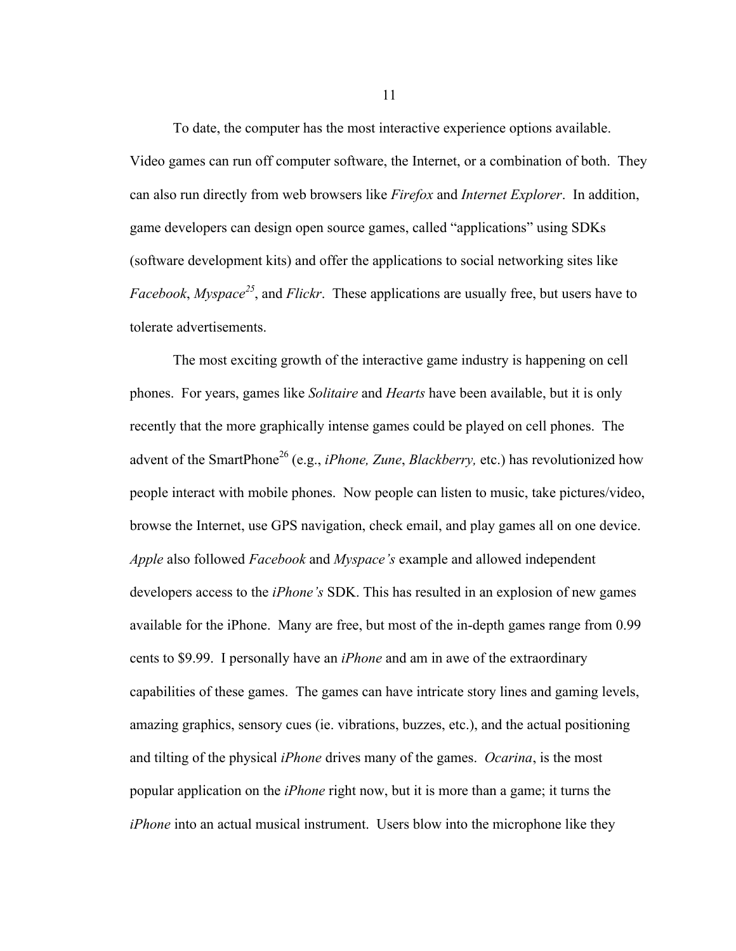To date, the computer has the most interactive experience options available. Video games can run off computer software, the Internet, or a combination of both. They can also run directly from web browsers like *Firefox* and *Internet Explorer*. In addition, game developers can design open source games, called "applications" using SDKs (software development kits) and offer the applications to social networking sites like *Facebook*, *Myspace<sup>25</sup>* , and *Flickr*. These applications are usually free, but users have to tolerate advertisements.

The most exciting growth of the interactive game industry is happening on cell phones. For years, games like *Solitaire* and *Hearts* have been available, but it is only recently that the more graphically intense games could be played on cell phones. The advent of the SmartPhone<sup>26</sup> (e.g., *iPhone, Zune, Blackberry,* etc.) has revolutionized how people interact with mobile phones. Now people can listen to music, take pictures/video, browse the Internet, use GPS navigation, check email, and play games all on one device. *Apple* also followed *Facebook* and *Myspace's* example and allowed independent developers access to the *iPhone's* SDK. This has resulted in an explosion of new games available for the iPhone. Many are free, but most of the in-depth games range from 0.99 cents to \$9.99. I personally have an *iPhone* and am in awe of the extraordinary capabilities of these games. The games can have intricate story lines and gaming levels, amazing graphics, sensory cues (ie. vibrations, buzzes, etc.), and the actual positioning and tilting of the physical *iPhone* drives many of the games. *Ocarina*, is the most popular application on the *iPhone* right now, but it is more than a game; it turns the *iPhone* into an actual musical instrument. Users blow into the microphone like they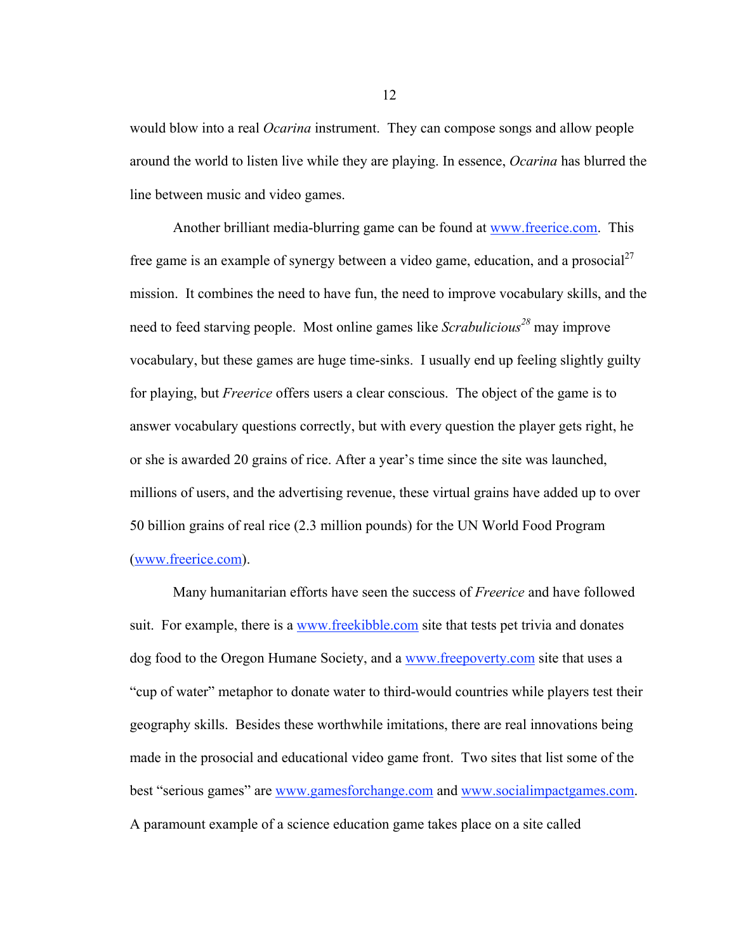would blow into a real *Ocarina* instrument. They can compose songs and allow people around the world to listen live while they are playing. In essence, *Ocarina* has blurred the line between music and video games.

Another brilliant media-blurring game can be found at www.freerice.com. This free game is an example of synergy between a video game, education, and a prosocial  $2^7$ mission. It combines the need to have fun, the need to improve vocabulary skills, and the need to feed starving people. Most online games like *Scrabulicious<sup>28</sup>* may improve vocabulary, but these games are huge time-sinks. I usually end up feeling slightly guilty for playing, but *Freerice* offers users a clear conscious. The object of the game is to answer vocabulary questions correctly, but with every question the player gets right, he or she is awarded 20 grains of rice. After a year's time since the site was launched, millions of users, and the advertising revenue, these virtual grains have added up to over 50 billion grains of real rice (2.3 million pounds) for the UN World Food Program (www.freerice.com).

Many humanitarian efforts have seen the success of *Freerice* and have followed suit. For example, there is a www.freekibble.com site that tests pet trivia and donates dog food to the Oregon Humane Society, and a www.freepoverty.com site that uses a "cup of water" metaphor to donate water to third-would countries while players test their geography skills. Besides these worthwhile imitations, there are real innovations being made in the prosocial and educational video game front. Two sites that list some of the best "serious games" are www.gamesforchange.com and www.socialimpactgames.com. A paramount example of a science education game takes place on a site called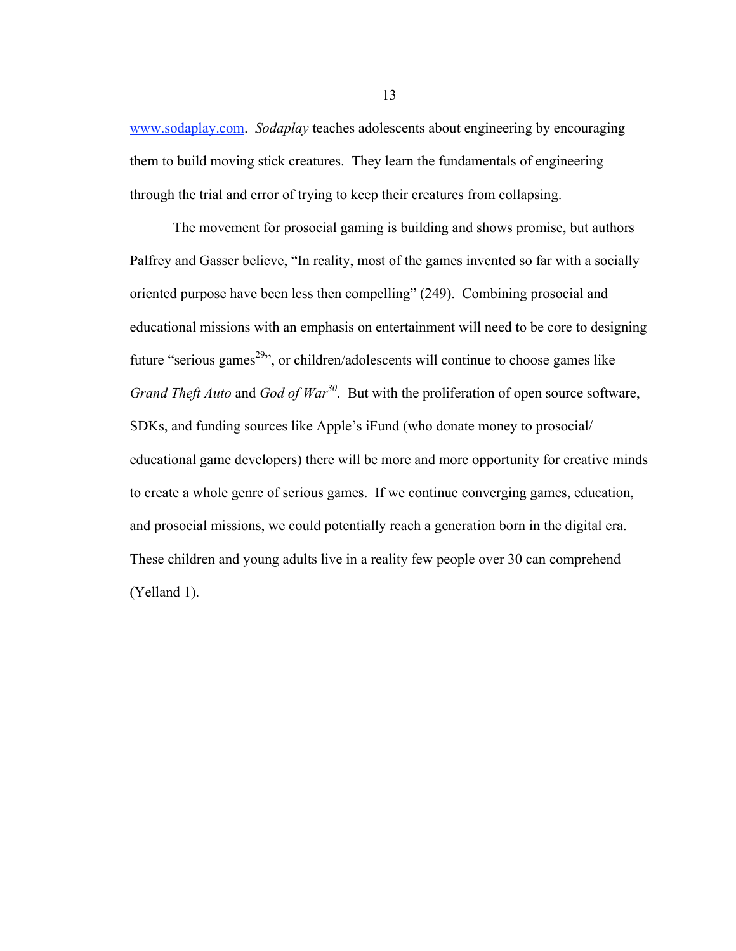www.sodaplay.com. *Sodaplay* teaches adolescents about engineering by encouraging them to build moving stick creatures. They learn the fundamentals of engineering through the trial and error of trying to keep their creatures from collapsing.

The movement for prosocial gaming is building and shows promise, but authors Palfrey and Gasser believe, "In reality, most of the games invented so far with a socially oriented purpose have been less then compelling" (249). Combining prosocial and educational missions with an emphasis on entertainment will need to be core to designing future "serious games<sup>29</sup>", or children/adolescents will continue to choose games like *Grand Theft Auto* and *God of War<sup>30</sup>*. But with the proliferation of open source software, SDKs, and funding sources like Apple's iFund (who donate money to prosocial/ educational game developers) there will be more and more opportunity for creative minds to create a whole genre of serious games. If we continue converging games, education, and prosocial missions, we could potentially reach a generation born in the digital era. These children and young adults live in a reality few people over 30 can comprehend (Yelland 1).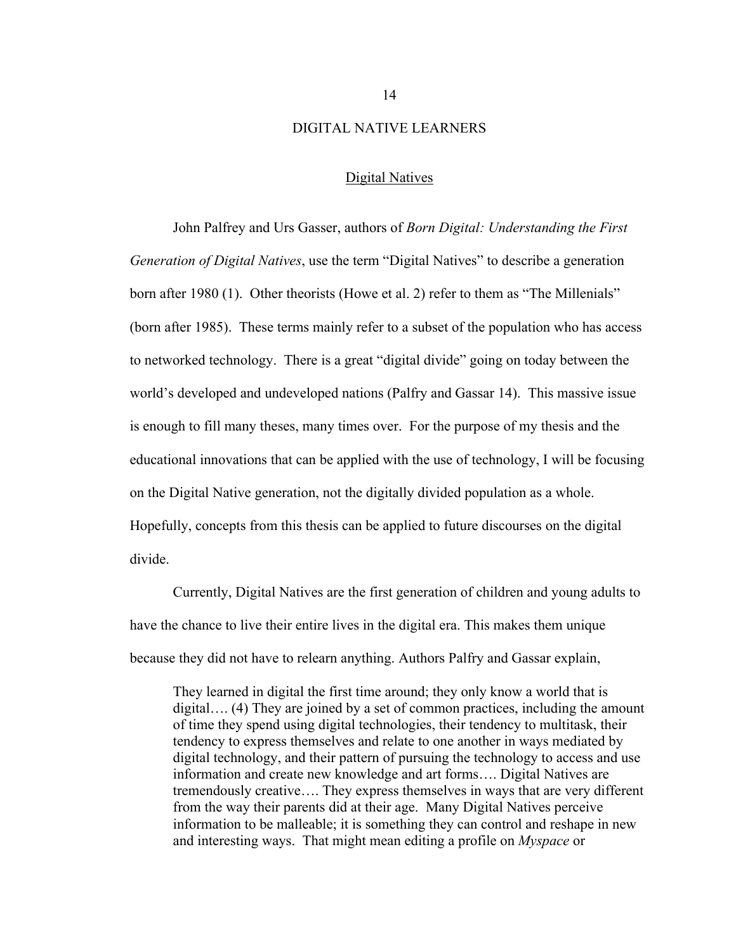#### DIGITAL NATIVE LEARNERS

#### Digital Natives

John Palfrey and Urs Gasser, authors of *Born Digital: Understanding the First Generation of Digital Natives*, use the term "Digital Natives" to describe a generation born after 1980 (1). Other theorists (Howe et al. 2) refer to them as "The Millenials" (born after 1985). These terms mainly refer to a subset of the population who has access to networked technology. There is a great "digital divide" going on today between the world's developed and undeveloped nations (Palfry and Gassar 14). This massive issue is enough to fill many theses, many times over. For the purpose of my thesis and the educational innovations that can be applied with the use of technology, I will be focusing on the Digital Native generation, not the digitally divided population as a whole. Hopefully, concepts from this thesis can be applied to future discourses on the digital divide.

Currently, Digital Natives are the first generation of children and young adults to have the chance to live their entire lives in the digital era. This makes them unique because they did not have to relearn anything. Authors Palfry and Gassar explain,

They learned in digital the first time around; they only know a world that is digital…. (4) They are joined by a set of common practices, including the amount of time they spend using digital technologies, their tendency to multitask, their tendency to express themselves and relate to one another in ways mediated by digital technology, and their pattern of pursuing the technology to access and use information and create new knowledge and art forms…. Digital Natives are tremendously creative…. They express themselves in ways that are very different from the way their parents did at their age. Many Digital Natives perceive information to be malleable; it is something they can control and reshape in new and interesting ways. That might mean editing a profile on *Myspace* or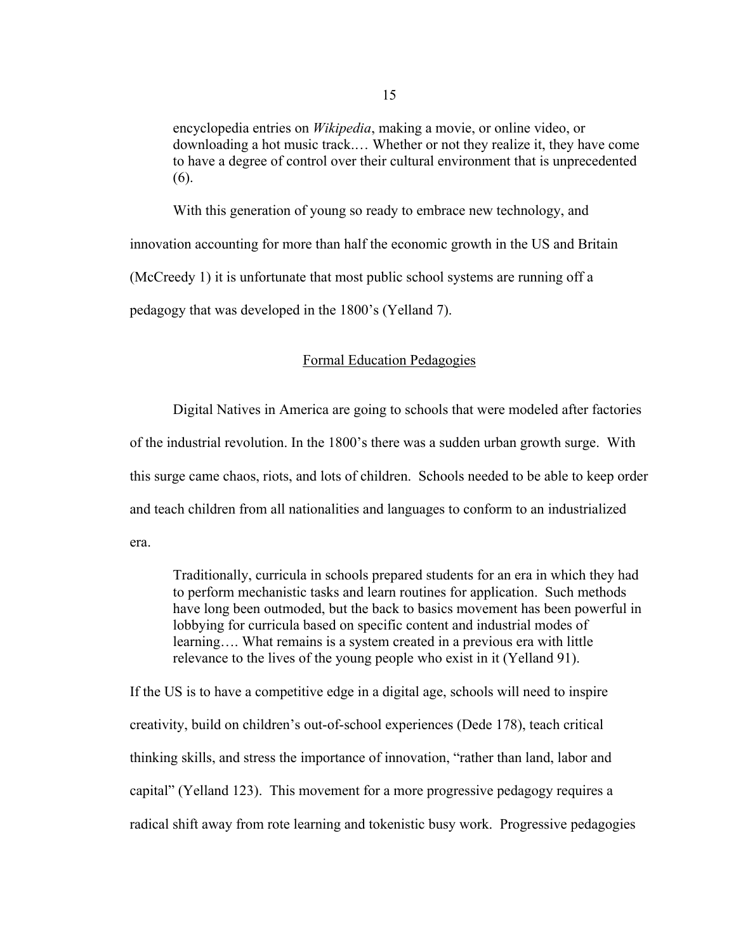encyclopedia entries on *Wikipedia*, making a movie, or online video, or downloading a hot music track.… Whether or not they realize it, they have come to have a degree of control over their cultural environment that is unprecedented (6).

With this generation of young so ready to embrace new technology, and innovation accounting for more than half the economic growth in the US and Britain (McCreedy 1) it is unfortunate that most public school systems are running off a pedagogy that was developed in the 1800's (Yelland 7).

### Formal Education Pedagogies

Digital Natives in America are going to schools that were modeled after factories of the industrial revolution. In the 1800's there was a sudden urban growth surge. With this surge came chaos, riots, and lots of children. Schools needed to be able to keep order and teach children from all nationalities and languages to conform to an industrialized era.

Traditionally, curricula in schools prepared students for an era in which they had to perform mechanistic tasks and learn routines for application. Such methods have long been outmoded, but the back to basics movement has been powerful in lobbying for curricula based on specific content and industrial modes of learning…. What remains is a system created in a previous era with little relevance to the lives of the young people who exist in it (Yelland 91).

If the US is to have a competitive edge in a digital age, schools will need to inspire creativity, build on children's out-of-school experiences (Dede 178), teach critical thinking skills, and stress the importance of innovation, "rather than land, labor and capital" (Yelland 123).This movement for a more progressive pedagogy requires a radical shift away from rote learning and tokenistic busy work. Progressive pedagogies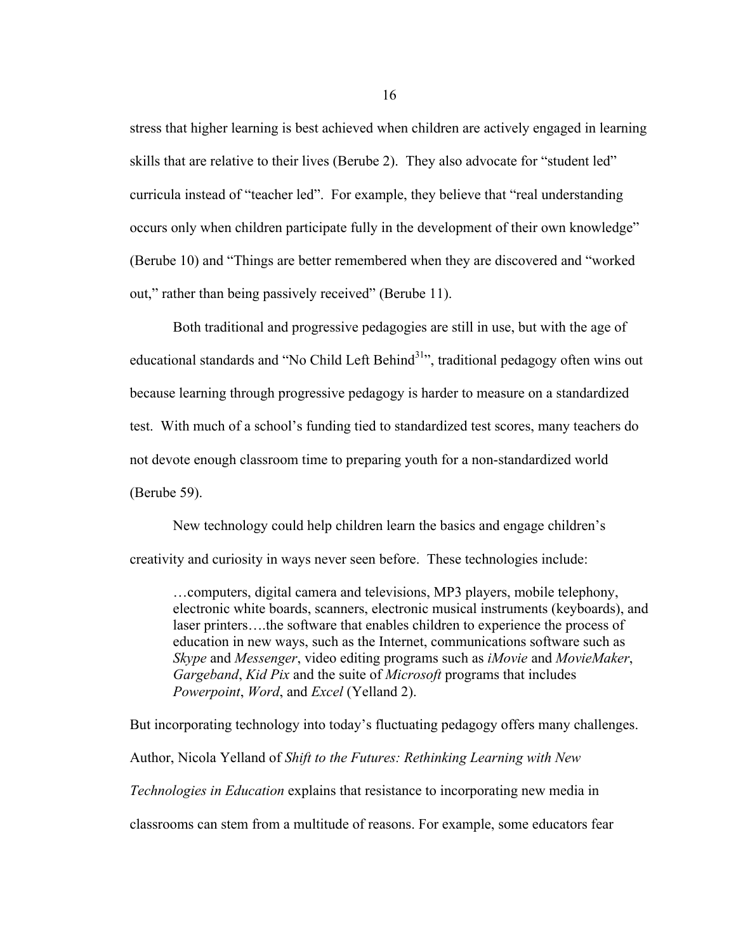stress that higher learning is best achieved when children are actively engaged in learning skills that are relative to their lives (Berube 2). They also advocate for "student led" curricula instead of "teacher led". For example, they believe that "real understanding occurs only when children participate fully in the development of their own knowledge" (Berube 10) and "Things are better remembered when they are discovered and "worked out," rather than being passively received" (Berube 11).

Both traditional and progressive pedagogies are still in use, but with the age of educational standards and "No Child Left Behind<sup>31</sup>", traditional pedagogy often wins out because learning through progressive pedagogy is harder to measure on a standardized test. With much of a school's funding tied to standardized test scores, many teachers do not devote enough classroom time to preparing youth for a non-standardized world (Berube 59).

New technology could help children learn the basics and engage children's creativity and curiosity in ways never seen before. These technologies include:

…computers, digital camera and televisions, MP3 players, mobile telephony, electronic white boards, scanners, electronic musical instruments (keyboards), and laser printers….the software that enables children to experience the process of education in new ways, such as the Internet, communications software such as *Skype* and *Messenger*, video editing programs such as *iMovie* and *MovieMaker*, *Gargeband*, *Kid Pix* and the suite of *Microsoft* programs that includes *Powerpoint*, *Word*, and *Excel* (Yelland 2).

But incorporating technology into today's fluctuating pedagogy offers many challenges. Author, Nicola Yelland of *Shift to the Futures: Rethinking Learning with New Technologies in Education* explains that resistance to incorporating new media in classrooms can stem from a multitude of reasons. For example, some educators fear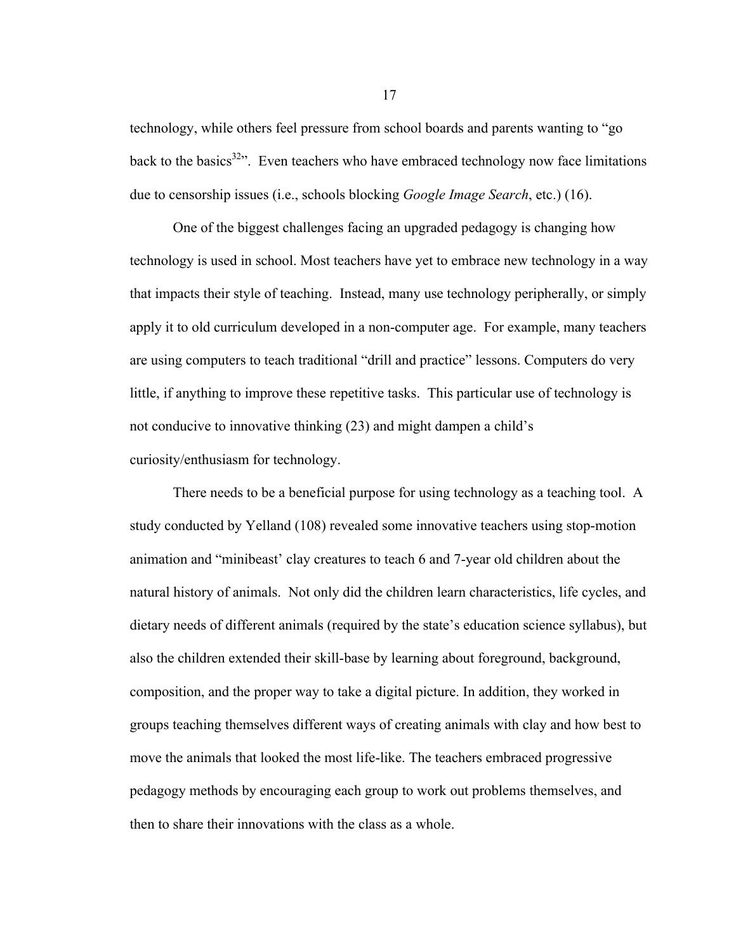technology, while others feel pressure from school boards and parents wanting to "go back to the basics<sup>32</sup><sup>2</sup>. Even teachers who have embraced technology now face limitations due to censorship issues (i.e., schools blocking *Google Image Search*, etc.) (16).

One of the biggest challenges facing an upgraded pedagogy is changing how technology is used in school. Most teachers have yet to embrace new technology in a way that impacts their style of teaching. Instead, many use technology peripherally, or simply apply it to old curriculum developed in a non-computer age. For example, many teachers are using computers to teach traditional "drill and practice" lessons. Computers do very little, if anything to improve these repetitive tasks. This particular use of technology is not conducive to innovative thinking (23) and might dampen a child's curiosity/enthusiasm for technology.

There needs to be a beneficial purpose for using technology as a teaching tool. A study conducted by Yelland (108) revealed some innovative teachers using stop-motion animation and "minibeast' clay creatures to teach 6 and 7-year old children about the natural history of animals. Not only did the children learn characteristics, life cycles, and dietary needs of different animals (required by the state's education science syllabus), but also the children extended their skill-base by learning about foreground, background, composition, and the proper way to take a digital picture. In addition, they worked in groups teaching themselves different ways of creating animals with clay and how best to move the animals that looked the most life-like. The teachers embraced progressive pedagogy methods by encouraging each group to work out problems themselves, and then to share their innovations with the class as a whole.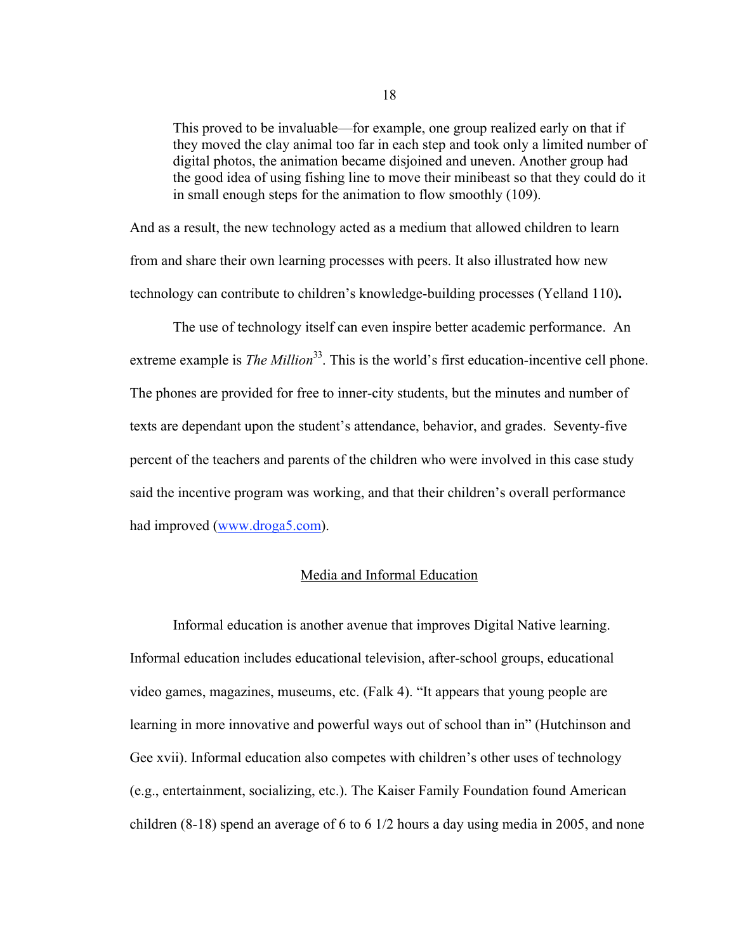This proved to be invaluable—for example, one group realized early on that if they moved the clay animal too far in each step and took only a limited number of digital photos, the animation became disjoined and uneven. Another group had the good idea of using fishing line to move their minibeast so that they could do it in small enough steps for the animation to flow smoothly (109).

And as a result, the new technology acted as a medium that allowed children to learn from and share their own learning processes with peers. It also illustrated how new technology can contribute to children's knowledge-building processes (Yelland 110)**.**

The use of technology itself can even inspire better academic performance. An extreme example is *The Million*<sup>33</sup>. This is the world's first education-incentive cell phone. The phones are provided for free to inner-city students, but the minutes and number of texts are dependant upon the student's attendance, behavior, and grades. Seventy-five percent of the teachers and parents of the children who were involved in this case study said the incentive program was working, and that their children's overall performance had improved (www.droga5.com).

# Media and Informal Education

Informal education is another avenue that improves Digital Native learning. Informal education includes educational television, after-school groups, educational video games, magazines, museums, etc. (Falk 4). "It appears that young people are learning in more innovative and powerful ways out of school than in" (Hutchinson and Gee xvii). Informal education also competes with children's other uses of technology (e.g., entertainment, socializing, etc.). The Kaiser Family Foundation found American children (8-18) spend an average of 6 to 6 1/2 hours a day using media in 2005, and none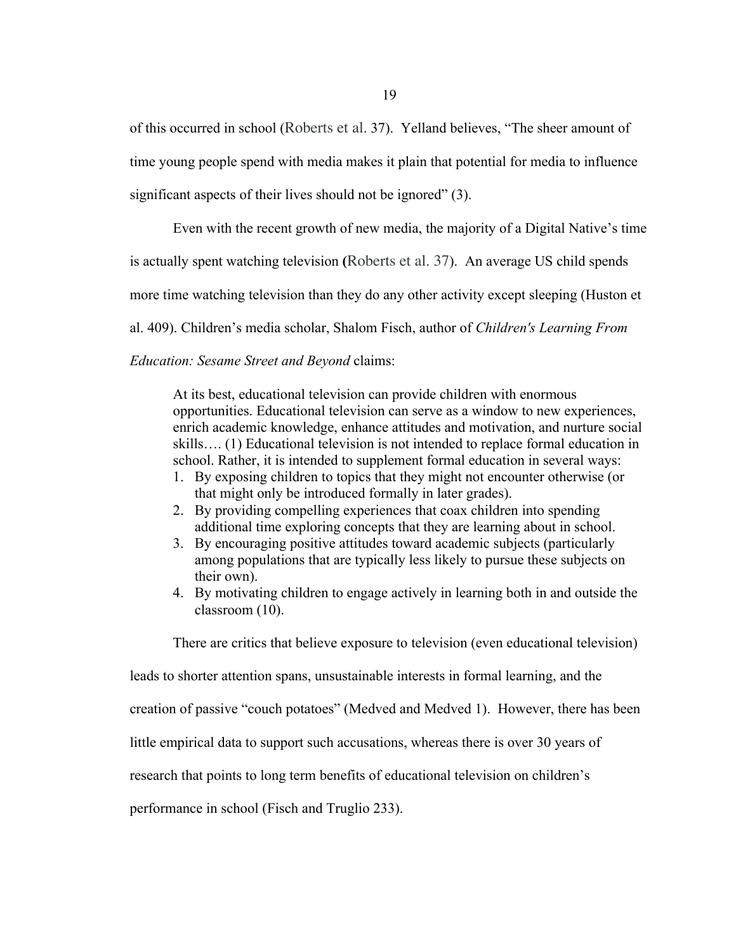of this occurred in school (Roberts et al. 37). Yelland believes, "The sheer amount of time young people spend with media makes it plain that potential for media to influence significant aspects of their lives should not be ignored" (3).

Even with the recent growth of new media, the majority of a Digital Native's time is actually spent watching television **(**Roberts et al. 37).An average US child spends more time watching television than they do any other activity except sleeping (Huston et al. 409). Children's media scholar, Shalom Fisch, author of *Children's Learning From Education: Sesame Street and Beyond* claims:

At its best, educational television can provide children with enormous opportunities. Educational television can serve as a window to new experiences, enrich academic knowledge, enhance attitudes and motivation, and nurture social skills…. (1) Educational television is not intended to replace formal education in school. Rather, it is intended to supplement formal education in several ways:

- 1. By exposing children to topics that they might not encounter otherwise (or that might only be introduced formally in later grades).
- 2. By providing compelling experiences that coax children into spending additional time exploring concepts that they are learning about in school.
- 3. By encouraging positive attitudes toward academic subjects (particularly among populations that are typically less likely to pursue these subjects on their own).
- 4. By motivating children to engage actively in learning both in and outside the classroom (10).

There are critics that believe exposure to television (even educational television)

leads to shorter attention spans, unsustainable interests in formal learning, and the

creation of passive "couch potatoes" (Medved and Medved 1). However, there has been

little empirical data to support such accusations, whereas there is over 30 years of

research that points to long term benefits of educational television on children's

performance in school (Fisch and Truglio 233).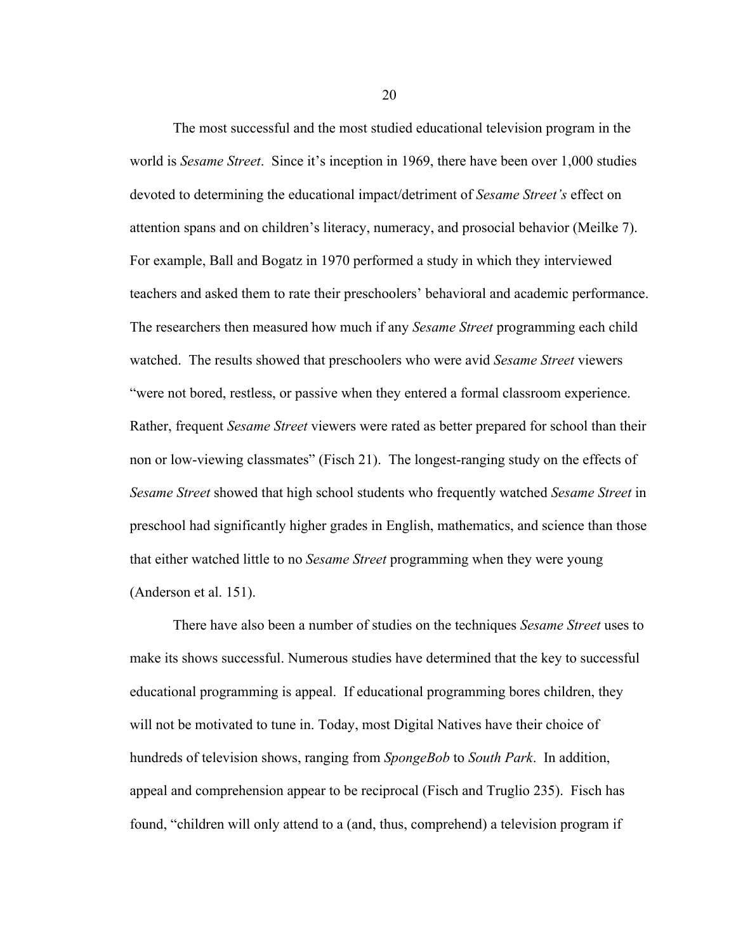The most successful and the most studied educational television program in the world is *Sesame Street*. Since it's inception in 1969, there have been over 1,000 studies devoted to determining the educational impact/detriment of *Sesame Street's* effect on attention spans and on children's literacy, numeracy, and prosocial behavior (Meilke 7). For example, Ball and Bogatz in 1970 performed a study in which they interviewed teachers and asked them to rate their preschoolers' behavioral and academic performance. The researchers then measured how much if any *Sesame Street* programming each child watched. The results showed that preschoolers who were avid *Sesame Street* viewers "were not bored, restless, or passive when they entered a formal classroom experience. Rather, frequent *Sesame Street* viewers were rated as better prepared for school than their non or low-viewing classmates" (Fisch 21). The longest-ranging study on the effects of *Sesame Street* showed that high school students who frequently watched *Sesame Street* in preschool had significantly higher grades in English, mathematics, and science than those that either watched little to no *Sesame Street* programming when they were young (Anderson et al. 151).

There have also been a number of studies on the techniques *Sesame Street* uses to make its shows successful. Numerous studies have determined that the key to successful educational programming is appeal. If educational programming bores children, they will not be motivated to tune in. Today, most Digital Natives have their choice of hundreds of television shows, ranging from *SpongeBob* to *South Park*. In addition, appeal and comprehension appear to be reciprocal (Fisch and Truglio 235). Fisch has found, "children will only attend to a (and, thus, comprehend) a television program if

20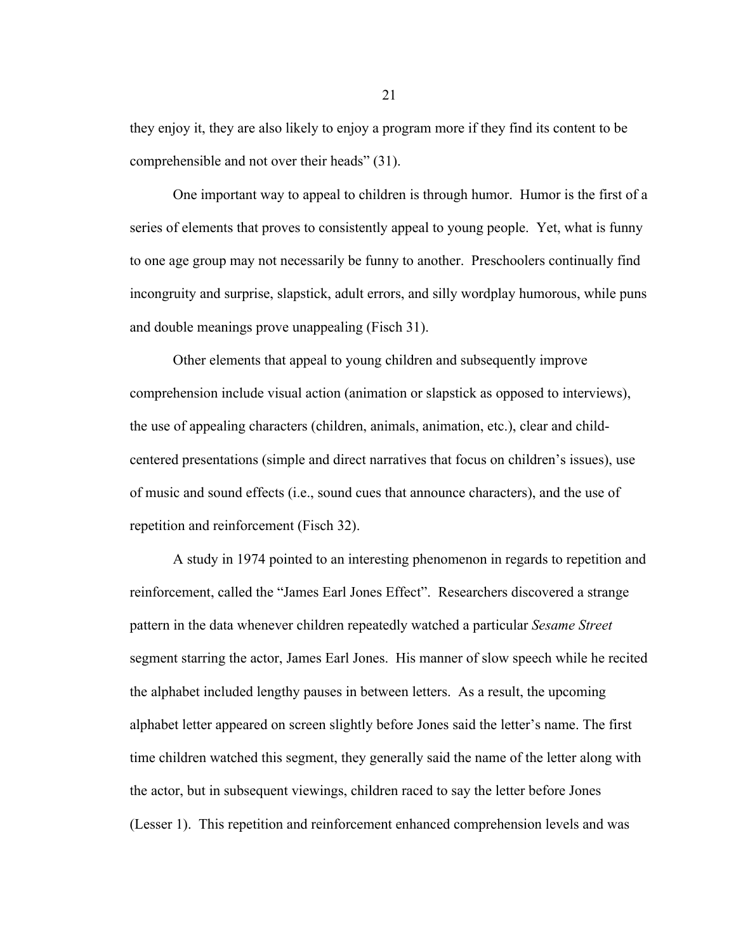they enjoy it, they are also likely to enjoy a program more if they find its content to be comprehensible and not over their heads" (31).

One important way to appeal to children is through humor. Humor is the first of a series of elements that proves to consistently appeal to young people. Yet, what is funny to one age group may not necessarily be funny to another. Preschoolers continually find incongruity and surprise, slapstick, adult errors, and silly wordplay humorous, while puns and double meanings prove unappealing (Fisch 31).

Other elements that appeal to young children and subsequently improve comprehension include visual action (animation or slapstick as opposed to interviews), the use of appealing characters (children, animals, animation, etc.), clear and childcentered presentations (simple and direct narratives that focus on children's issues), use of music and sound effects (i.e., sound cues that announce characters), and the use of repetition and reinforcement (Fisch 32).

A study in 1974 pointed to an interesting phenomenon in regards to repetition and reinforcement, called the "James Earl Jones Effect". Researchers discovered a strange pattern in the data whenever children repeatedly watched a particular *Sesame Street* segment starring the actor, James Earl Jones. His manner of slow speech while he recited the alphabet included lengthy pauses in between letters. As a result, the upcoming alphabet letter appeared on screen slightly before Jones said the letter's name. The first time children watched this segment, they generally said the name of the letter along with the actor, but in subsequent viewings, children raced to say the letter before Jones (Lesser 1). This repetition and reinforcement enhanced comprehension levels and was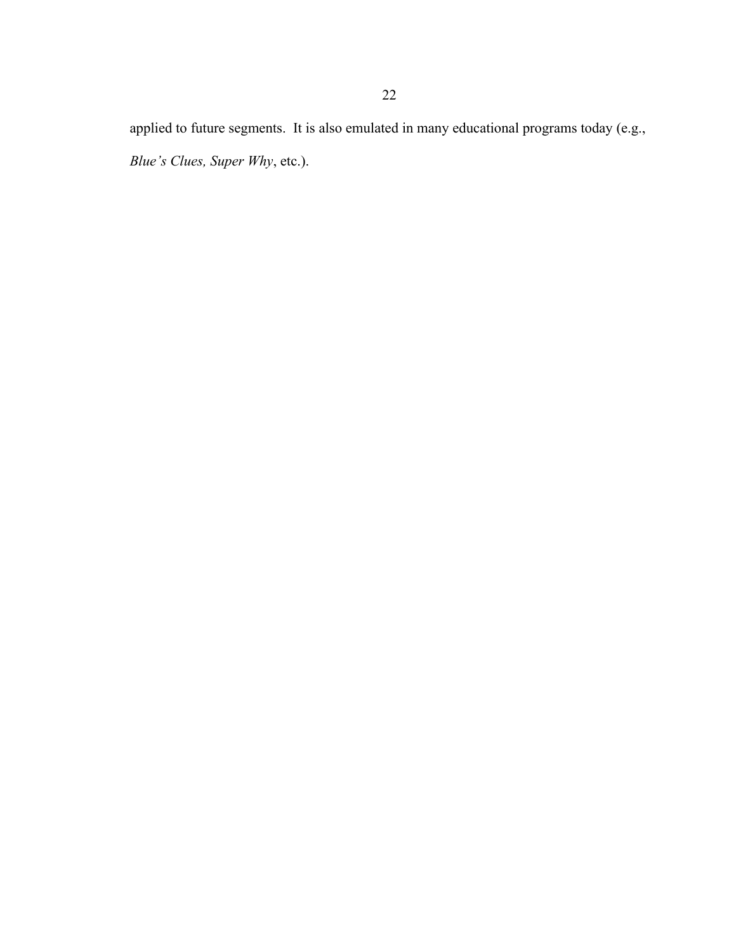applied to future segments. It is also emulated in many educational programs today (e.g., *Blue's Clues, Super Why*, etc.).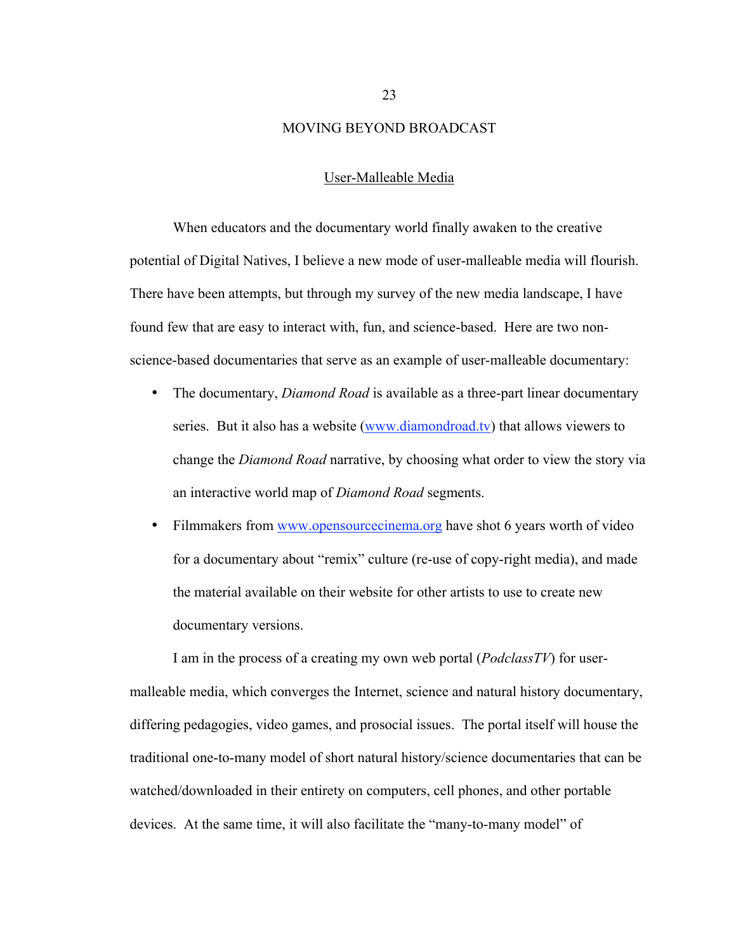#### MOVING BEYOND BROADCAST

#### User-Malleable Media

When educators and the documentary world finally awaken to the creative potential of Digital Natives, I believe a new mode of user-malleable media will flourish. There have been attempts, but through my survey of the new media landscape, I have found few that are easy to interact with, fun, and science-based. Here are two nonscience-based documentaries that serve as an example of user-malleable documentary:

- The documentary, *Diamond Road* is available as a three-part linear documentary series. But it also has a website (www.diamondroad.tv) that allows viewers to change the *Diamond Road* narrative, by choosing what order to view the story via an interactive world map of *Diamond Road* segments.
- Filmmakers from www.opensourcecinema.org have shot 6 years worth of video for a documentary about "remix" culture (re-use of copy-right media), and made the material available on their website for other artists to use to create new documentary versions.

I am in the process of a creating my own web portal (*PodclassTV*) for usermalleable media, which converges the Internet, science and natural history documentary, differing pedagogies, video games, and prosocial issues. The portal itself will house the traditional one-to-many model of short natural history/science documentaries that can be watched/downloaded in their entirety on computers, cell phones, and other portable devices. At the same time, it will also facilitate the "many-to-many model" of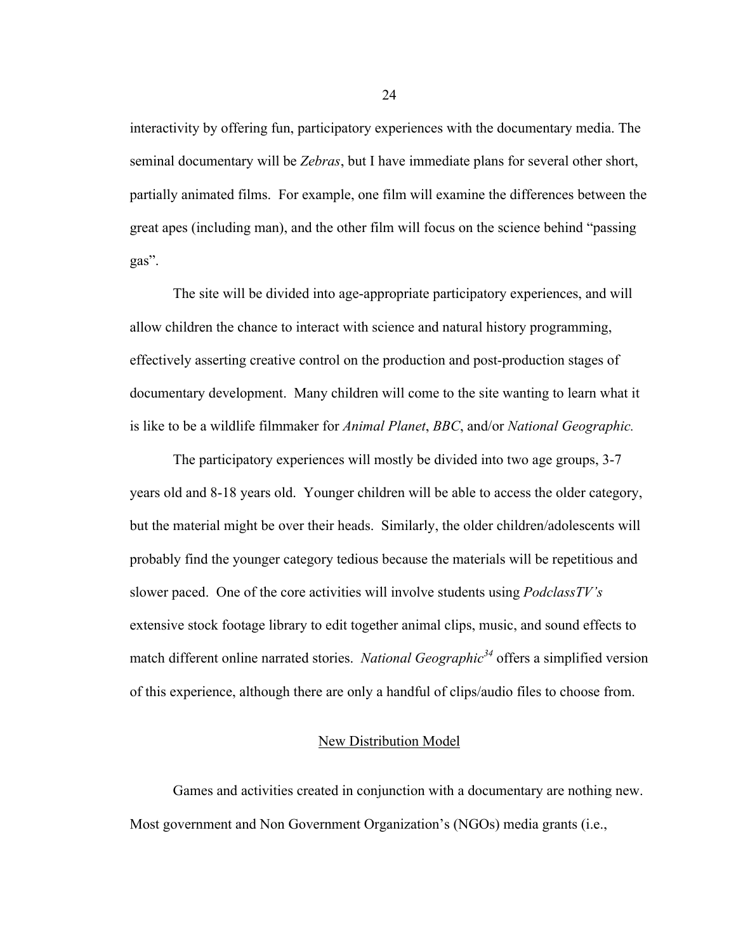interactivity by offering fun, participatory experiences with the documentary media. The seminal documentary will be *Zebras*, but I have immediate plans for several other short, partially animated films. For example, one film will examine the differences between the great apes (including man), and the other film will focus on the science behind "passing gas".

The site will be divided into age-appropriate participatory experiences, and will allow children the chance to interact with science and natural history programming, effectively asserting creative control on the production and post-production stages of documentary development. Many children will come to the site wanting to learn what it is like to be a wildlife filmmaker for *Animal Planet*, *BBC*, and/or *National Geographic.*

The participatory experiences will mostly be divided into two age groups, 3-7 years old and 8-18 years old. Younger children will be able to access the older category, but the material might be over their heads. Similarly, the older children/adolescents will probably find the younger category tedious because the materials will be repetitious and slower paced. One of the core activities will involve students using *PodclassTV's* extensive stock footage library to edit together animal clips, music, and sound effects to match different online narrated stories. *National Geographic*<sup>34</sup> offers a simplified version of this experience, although there are only a handful of clips/audio files to choose from.

# New Distribution Model

Games and activities created in conjunction with a documentary are nothing new. Most government and Non Government Organization's (NGOs) media grants (i.e.,

24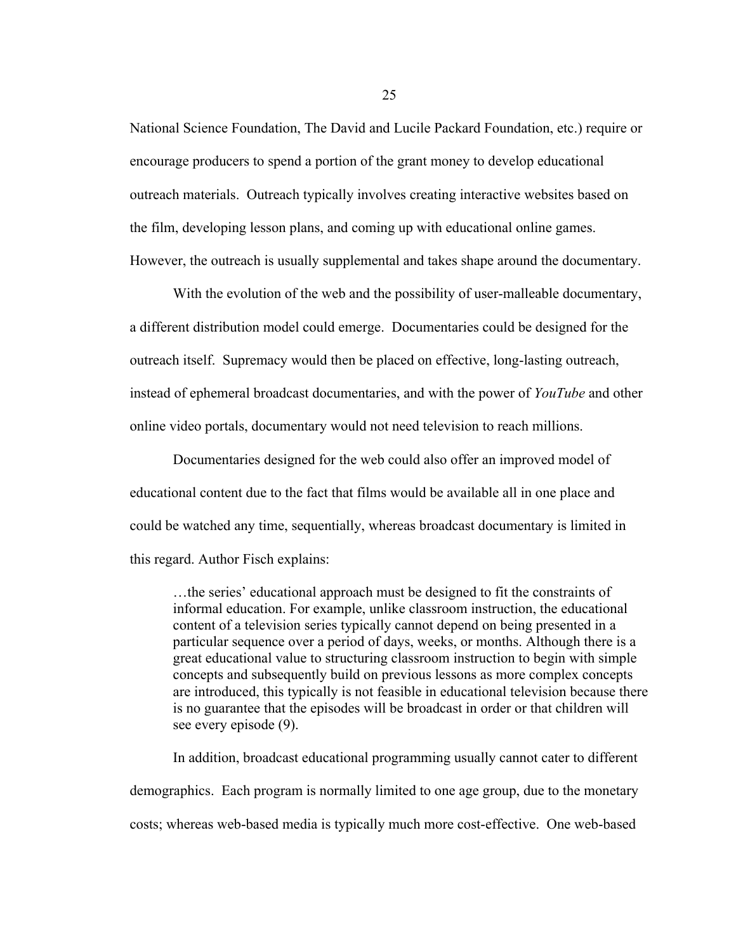National Science Foundation, The David and Lucile Packard Foundation, etc.) require or encourage producers to spend a portion of the grant money to develop educational outreach materials. Outreach typically involves creating interactive websites based on the film, developing lesson plans, and coming up with educational online games. However, the outreach is usually supplemental and takes shape around the documentary.

With the evolution of the web and the possibility of user-malleable documentary, a different distribution model could emerge. Documentaries could be designed for the outreach itself. Supremacy would then be placed on effective, long-lasting outreach, instead of ephemeral broadcast documentaries, and with the power of *YouTube* and other online video portals, documentary would not need television to reach millions.

Documentaries designed for the web could also offer an improved model of educational content due to the fact that films would be available all in one place and could be watched any time, sequentially, whereas broadcast documentary is limited in this regard. Author Fisch explains:

…the series' educational approach must be designed to fit the constraints of informal education. For example, unlike classroom instruction, the educational content of a television series typically cannot depend on being presented in a particular sequence over a period of days, weeks, or months. Although there is a great educational value to structuring classroom instruction to begin with simple concepts and subsequently build on previous lessons as more complex concepts are introduced, this typically is not feasible in educational television because there is no guarantee that the episodes will be broadcast in order or that children will see every episode (9).

In addition, broadcast educational programming usually cannot cater to different demographics. Each program is normally limited to one age group, due to the monetary costs; whereas web-based media is typically much more cost-effective. One web-based

25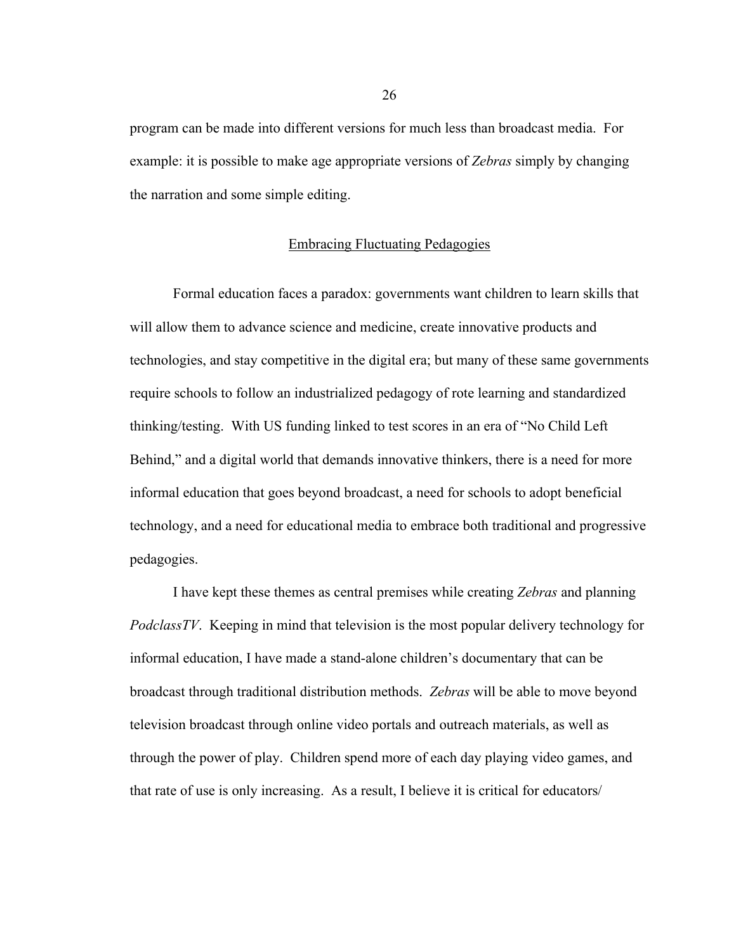program can be made into different versions for much less than broadcast media. For example: it is possible to make age appropriate versions of *Zebras* simply by changing the narration and some simple editing.

#### Embracing Fluctuating Pedagogies

Formal education faces a paradox: governments want children to learn skills that will allow them to advance science and medicine, create innovative products and technologies, and stay competitive in the digital era; but many of these same governments require schools to follow an industrialized pedagogy of rote learning and standardized thinking/testing. With US funding linked to test scores in an era of "No Child Left Behind," and a digital world that demands innovative thinkers, there is a need for more informal education that goes beyond broadcast, a need for schools to adopt beneficial technology, and a need for educational media to embrace both traditional and progressive pedagogies.

I have kept these themes as central premises while creating *Zebras* and planning *PodclassTV*. Keeping in mind that television is the most popular delivery technology for informal education, I have made a stand-alone children's documentary that can be broadcast through traditional distribution methods. *Zebras* will be able to move beyond television broadcast through online video portals and outreach materials, as well as through the power of play. Children spend more of each day playing video games, and that rate of use is only increasing. As a result, I believe it is critical for educators/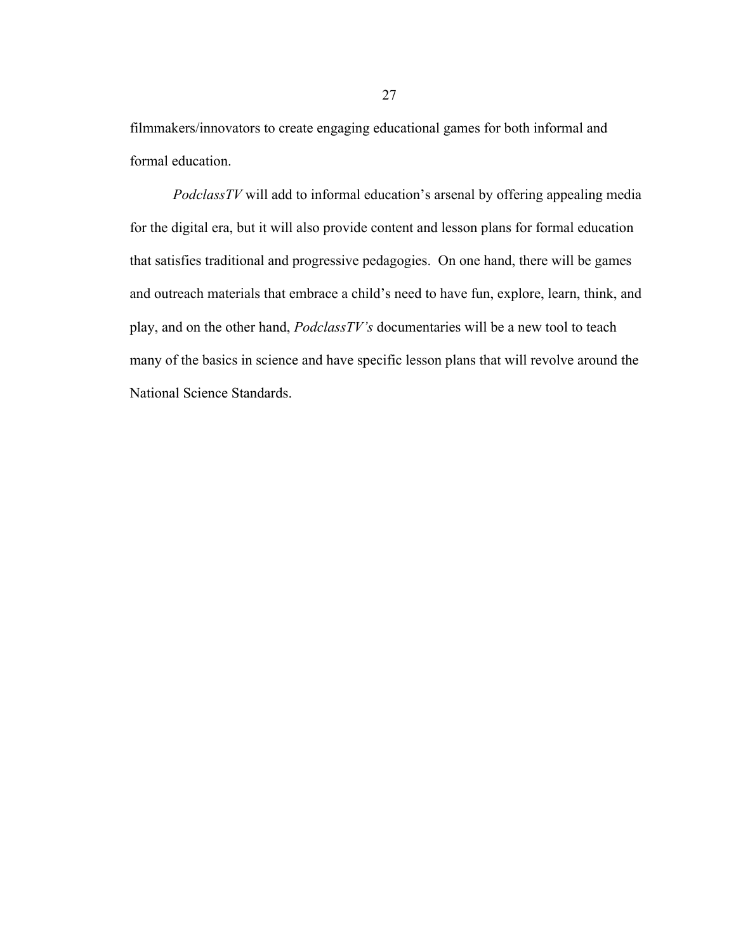filmmakers/innovators to create engaging educational games for both informal and formal education.

*PodclassTV* will add to informal education's arsenal by offering appealing media for the digital era, but it will also provide content and lesson plans for formal education that satisfies traditional and progressive pedagogies. On one hand, there will be games and outreach materials that embrace a child's need to have fun, explore, learn, think, and play, and on the other hand, *PodclassTV's* documentaries will be a new tool to teach many of the basics in science and have specific lesson plans that will revolve around the National Science Standards.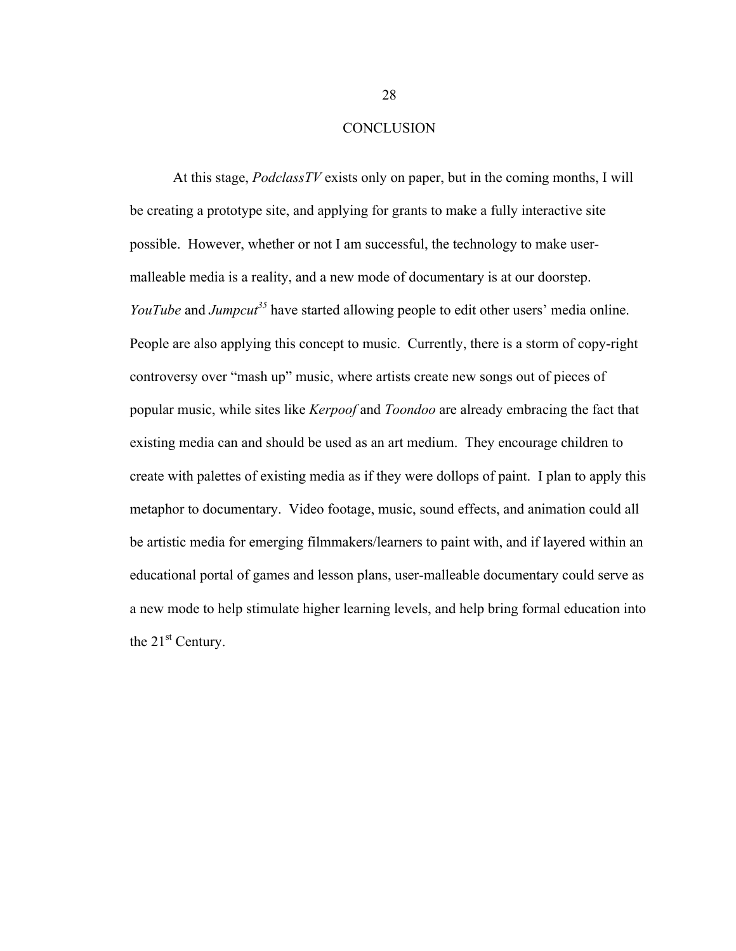#### **CONCLUSION**

At this stage, *PodclassTV* exists only on paper, but in the coming months, I will be creating a prototype site, and applying for grants to make a fully interactive site possible. However, whether or not I am successful, the technology to make usermalleable media is a reality, and a new mode of documentary is at our doorstep. *YouTube* and *Jumpcut*<sup>35</sup> have started allowing people to edit other users' media online. People are also applying this concept to music. Currently, there is a storm of copy-right controversy over "mash up" music, where artists create new songs out of pieces of popular music, while sites like *Kerpoof* and *Toondoo* are already embracing the fact that existing media can and should be used as an art medium. They encourage children to create with palettes of existing media as if they were dollops of paint. I plan to apply this metaphor to documentary. Video footage, music, sound effects, and animation could all be artistic media for emerging filmmakers/learners to paint with, and if layered within an educational portal of games and lesson plans, user-malleable documentary could serve as a new mode to help stimulate higher learning levels, and help bring formal education into the  $21<sup>st</sup>$  Century.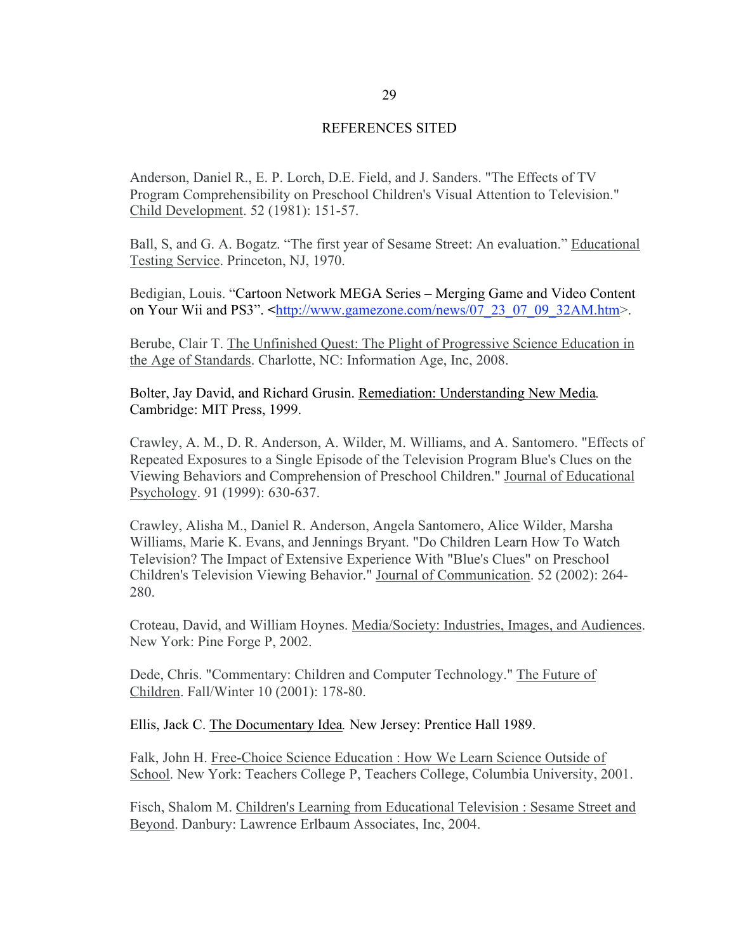#### REFERENCES SITED

Anderson, Daniel R., E. P. Lorch, D.E. Field, and J. Sanders. "The Effects of TV Program Comprehensibility on Preschool Children's Visual Attention to Television." Child Development. 52 (1981): 151-57.

Ball, S, and G. A. Bogatz. "The first year of Sesame Street: An evaluation." Educational Testing Service. Princeton, NJ, 1970.

Bedigian, Louis. "Cartoon Network MEGA Series – Merging Game and Video Content on Your Wii and PS3". **<**http://www.gamezone.com/news/07\_23\_07\_09\_32AM.htm>.

Berube, Clair T. The Unfinished Quest: The Plight of Progressive Science Education in the Age of Standards. Charlotte, NC: Information Age, Inc, 2008.

Bolter, Jay David, and Richard Grusin. Remediation: Understanding New Media*.* Cambridge: MIT Press, 1999.

Crawley, A. M., D. R. Anderson, A. Wilder, M. Williams, and A. Santomero. "Effects of Repeated Exposures to a Single Episode of the Television Program Blue's Clues on the Viewing Behaviors and Comprehension of Preschool Children." Journal of Educational Psychology. 91 (1999): 630-637.

Crawley, Alisha M., Daniel R. Anderson, Angela Santomero, Alice Wilder, Marsha Williams, Marie K. Evans, and Jennings Bryant. "Do Children Learn How To Watch Television? The Impact of Extensive Experience With "Blue's Clues" on Preschool Children's Television Viewing Behavior." Journal of Communication. 52 (2002): 264- 280.

Croteau, David, and William Hoynes. Media/Society: Industries, Images, and Audiences. New York: Pine Forge P, 2002.

Dede, Chris. "Commentary: Children and Computer Technology." The Future of Children. Fall/Winter 10 (2001): 178-80.

Ellis, Jack C. The Documentary Idea*.* New Jersey: Prentice Hall 1989.

Falk, John H. Free-Choice Science Education : How We Learn Science Outside of School. New York: Teachers College P, Teachers College, Columbia University, 2001.

Fisch, Shalom M. Children's Learning from Educational Television : Sesame Street and Beyond. Danbury: Lawrence Erlbaum Associates, Inc, 2004.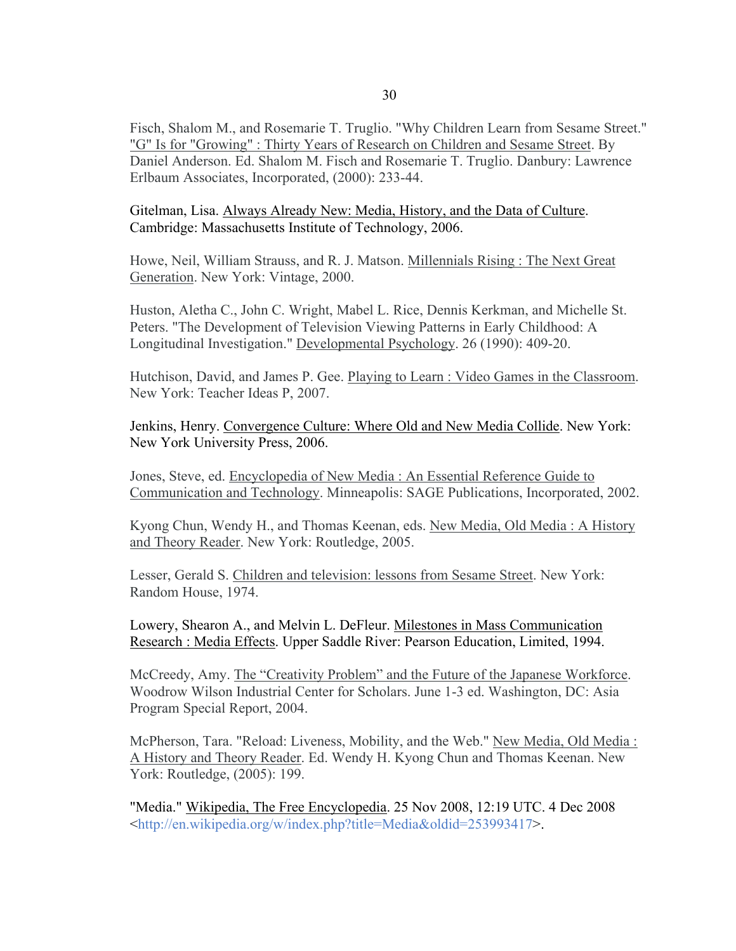Fisch, Shalom M., and Rosemarie T. Truglio. "Why Children Learn from Sesame Street." "G" Is for "Growing" : Thirty Years of Research on Children and Sesame Street. By Daniel Anderson. Ed. Shalom M. Fisch and Rosemarie T. Truglio. Danbury: Lawrence Erlbaum Associates, Incorporated, (2000): 233-44.

Gitelman, Lisa. Always Already New: Media, History, and the Data of Culture. Cambridge: Massachusetts Institute of Technology, 2006.

Howe, Neil, William Strauss, and R. J. Matson. Millennials Rising : The Next Great Generation. New York: Vintage, 2000.

Huston, Aletha C., John C. Wright, Mabel L. Rice, Dennis Kerkman, and Michelle St. Peters. "The Development of Television Viewing Patterns in Early Childhood: A Longitudinal Investigation." Developmental Psychology. 26 (1990): 409-20.

Hutchison, David, and James P. Gee. Playing to Learn : Video Games in the Classroom. New York: Teacher Ideas P, 2007.

Jenkins, Henry. Convergence Culture: Where Old and New Media Collide. New York: New York University Press, 2006.

Jones, Steve, ed. Encyclopedia of New Media : An Essential Reference Guide to Communication and Technology. Minneapolis: SAGE Publications, Incorporated, 2002.

Kyong Chun, Wendy H., and Thomas Keenan, eds. New Media, Old Media : A History and Theory Reader. New York: Routledge, 2005.

Lesser, Gerald S. Children and television: lessons from Sesame Street. New York: Random House, 1974.

Lowery, Shearon A., and Melvin L. DeFleur. Milestones in Mass Communication Research : Media Effects. Upper Saddle River: Pearson Education, Limited, 1994.

McCreedy, Amy. The "Creativity Problem" and the Future of the Japanese Workforce. Woodrow Wilson Industrial Center for Scholars. June 1-3 ed. Washington, DC: Asia Program Special Report, 2004.

McPherson, Tara. "Reload: Liveness, Mobility, and the Web." New Media, Old Media : A History and Theory Reader. Ed. Wendy H. Kyong Chun and Thomas Keenan. New York: Routledge, (2005): 199.

"Media." Wikipedia, The Free Encyclopedia. 25 Nov 2008, 12:19 UTC. 4 Dec 2008 <http://en.wikipedia.org/w/index.php?title=Media&oldid=253993417>.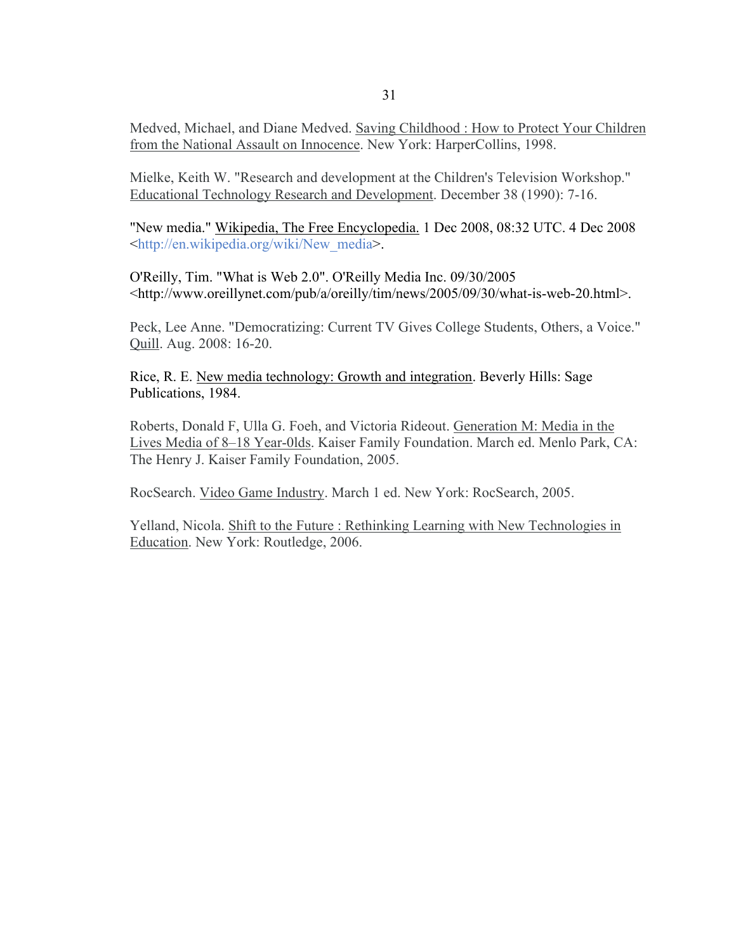Medved, Michael, and Diane Medved. Saving Childhood : How to Protect Your Children from the National Assault on Innocence. New York: HarperCollins, 1998.

Mielke, Keith W. "Research and development at the Children's Television Workshop." Educational Technology Research and Development. December 38 (1990): 7-16.

"New media." Wikipedia, The Free Encyclopedia. 1 Dec 2008, 08:32 UTC. 4 Dec 2008 <http://en.wikipedia.org/wiki/New\_media>.

O'Reilly, Tim. "What is Web 2.0". O'Reilly Media Inc. 09/30/2005 <http://www.oreillynet.com/pub/a/oreilly/tim/news/2005/09/30/what-is-web-20.html>.

Peck, Lee Anne. "Democratizing: Current TV Gives College Students, Others, a Voice." Quill. Aug. 2008: 16-20.

Rice, R. E. New media technology: Growth and integration. Beverly Hills: Sage Publications, 1984.

Roberts, Donald F, Ulla G. Foeh, and Victoria Rideout. Generation M: Media in the Lives Media of 8–18 Year-0lds. Kaiser Family Foundation. March ed. Menlo Park, CA: The Henry J. Kaiser Family Foundation, 2005.

RocSearch. Video Game Industry. March 1 ed. New York: RocSearch, 2005.

Yelland, Nicola. Shift to the Future : Rethinking Learning with New Technologies in Education. New York: Routledge, 2006.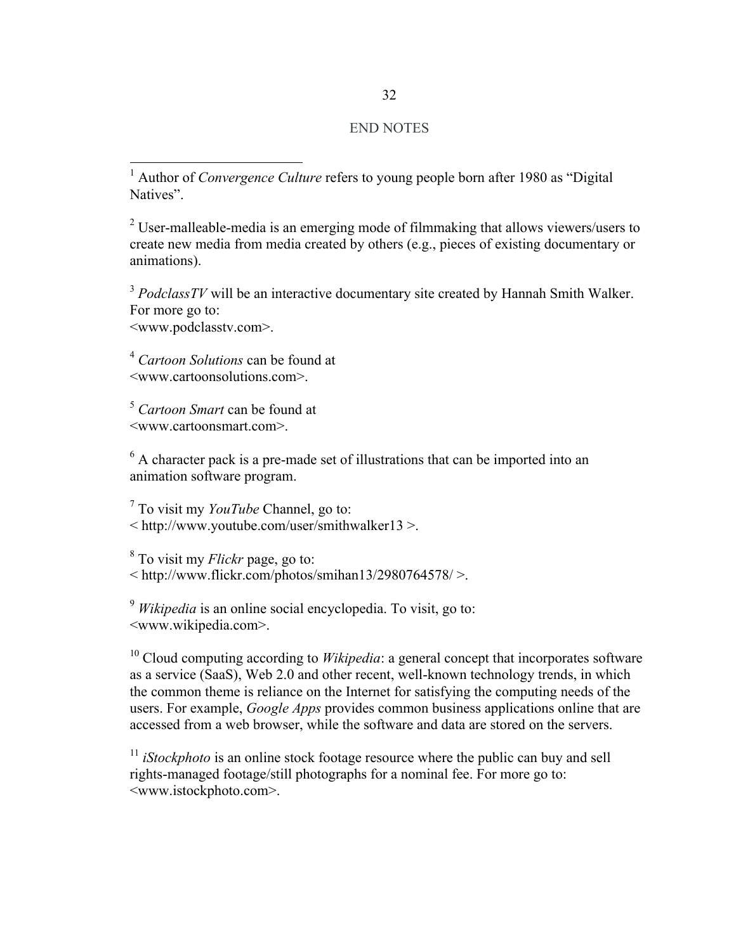# END NOTES

 1 Author of *Convergence Culture* refers to young people born after 1980 as "Digital Natives".

 $2^2$  User-malleable-media is an emerging mode of filmmaking that allows viewers/users to create new media from media created by others (e.g., pieces of existing documentary or animations).

<sup>3</sup> PodclassTV will be an interactive documentary site created by Hannah Smith Walker. For more go to: <www.podclasstv.com>.

<sup>4</sup> *Cartoon Solutions* can be found at <www.cartoonsolutions.com>.

<sup>5</sup> *Cartoon Smart* can be found at <www.cartoonsmart.com>.

 $6$  A character pack is a pre-made set of illustrations that can be imported into an animation software program.

7 To visit my *YouTube* Channel, go to: < http://www.youtube.com/user/smithwalker13 >.

8 To visit my *Flickr* page, go to:  $\leq$  http://www.flickr.com/photos/smihan13/2980764578/ $>$ .

<sup>9</sup> *Wikipedia* is an online social encyclopedia. To visit, go to: <www.wikipedia.com>.

<sup>10</sup> Cloud computing according to *Wikipedia*: a general concept that incorporates software as a service (SaaS), Web 2.0 and other recent, well-known technology trends, in which the common theme is reliance on the Internet for satisfying the computing needs of the users. For example, *Google Apps* provides common business applications online that are accessed from a web browser, while the software and data are stored on the servers.

<sup>11</sup> *iStockphoto* is an online stock footage resource where the public can buy and sell rights-managed footage/still photographs for a nominal fee. For more go to: <www.istockphoto.com>.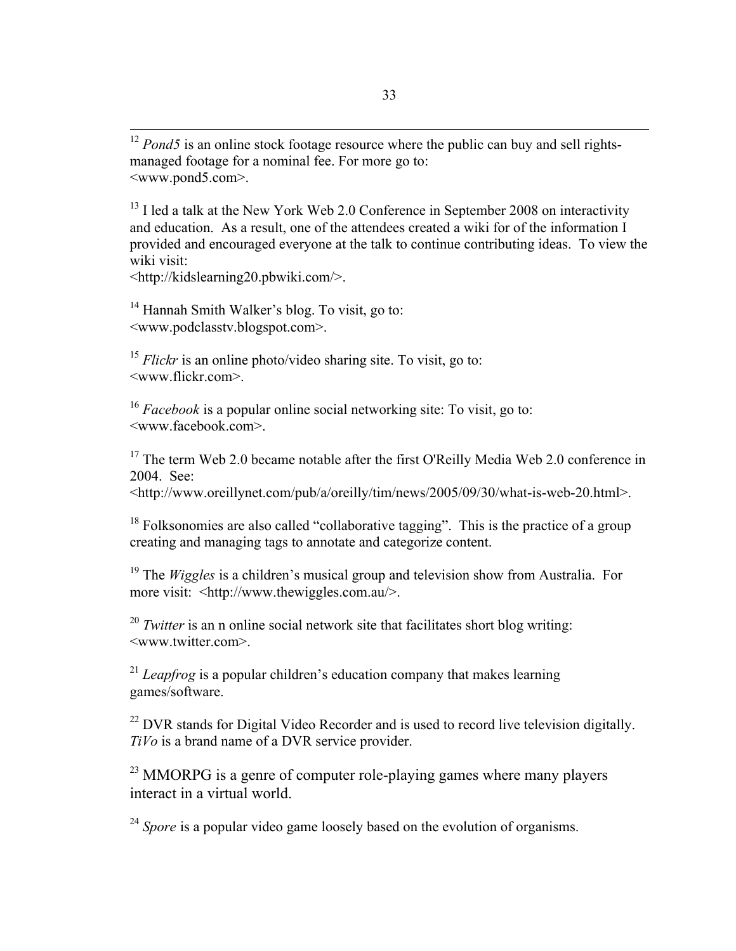<sup>12</sup> *Pond5* is an online stock footage resource where the public can buy and sell rightsmanaged footage for a nominal fee. For more go to: <www.pond5.com>.

 $<sup>13</sup>$  I led a talk at the New York Web 2.0 Conference in September 2008 on interactivity</sup> and education. As a result, one of the attendees created a wiki for of the information I provided and encouraged everyone at the talk to continue contributing ideas. To view the wiki visit:

<http://kidslearning20.pbwiki.com/>.

<sup>14</sup> Hannah Smith Walker's blog. To visit, go to: <www.podclasstv.blogspot.com>.

<sup>15</sup> *Flickr* is an online photo/video sharing site. To visit, go to: <www.flickr.com>.

<sup>16</sup> *Facebook* is a popular online social networking site: To visit, go to: <www.facebook.com>.

 $17$  The term Web 2.0 became notable after the first O'Reilly Media Web 2.0 conference in 2004. See:

<http://www.oreillynet.com/pub/a/oreilly/tim/news/2005/09/30/what-is-web-20.html>.

 $18$  Folksonomies are also called "collaborative tagging". This is the practice of a group creating and managing tags to annotate and categorize content.

<sup>19</sup> The *Wiggles* is a children's musical group and television show from Australia. For more visit: <http://www.thewiggles.com.au/>.

<sup>20</sup> *Twitter* is an n online social network site that facilitates short blog writing: <www.twitter.com>.

<sup>21</sup> *Leapfrog* is a popular children's education company that makes learning games/software.

 $22$  DVR stands for Digital Video Recorder and is used to record live television digitally. *TiVo* is a brand name of a DVR service provider.

<sup>23</sup> MMORPG is a genre of computer role-playing games where many players interact in a virtual world.

<sup>24</sup> Spore is a popular video game loosely based on the evolution of organisms.